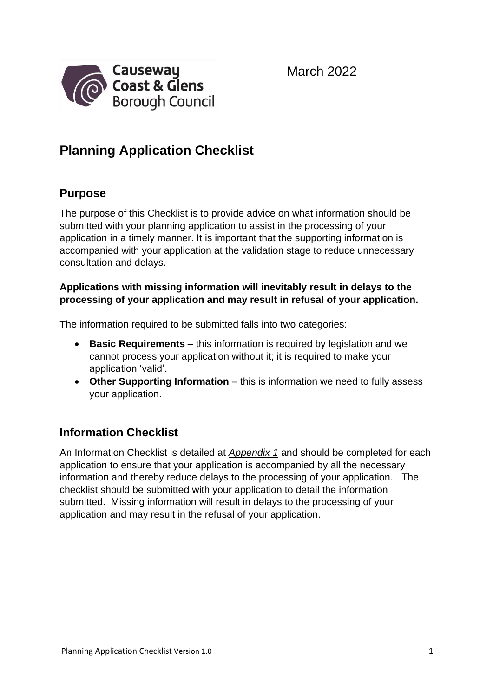March 2022



### **Planning Application Checklist**

#### **Purpose**

The purpose of this Checklist is to provide advice on what information should be submitted with your planning application to assist in the processing of your application in a timely manner. It is important that the supporting information is accompanied with your application at the validation stage to reduce unnecessary consultation and delays.

#### **Applications with missing information will inevitably result in delays to the processing of your application and may result in refusal of your application.**

The information required to be submitted falls into two categories:

- **Basic Requirements** this information is required by legislation and we cannot process your application without it; it is required to make your application 'valid'.
- **Other Supporting Information** this is information we need to fully assess your application.

#### **Information Checklist**

An Information Checklist is detailed at *Appendix 1* and should be completed for each application to ensure that your application is accompanied by all the necessary information and thereby reduce delays to the processing of your application. The checklist should be submitted with your application to detail the information submitted. Missing information will result in delays to the processing of your application and may result in the refusal of your application.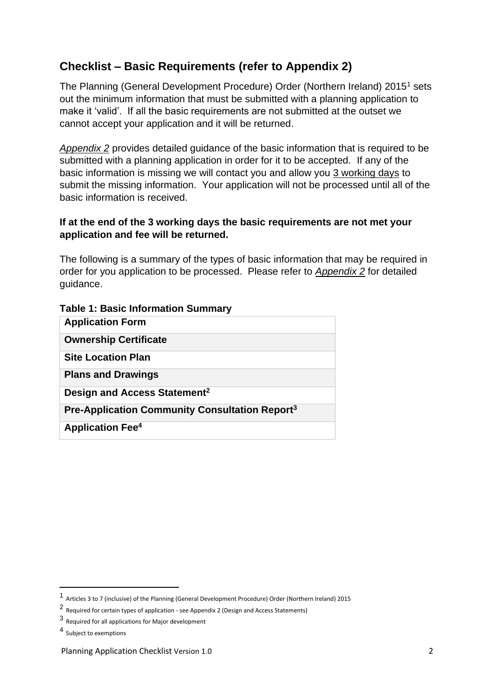#### **Checklist – Basic Requirements (refer to Appendix 2)**

The Planning (General Development Procedure) Order (Northern Ireland) 2015<sup>1</sup> sets out the minimum information that must be submitted with a planning application to make it 'valid'. If all the basic requirements are not submitted at the outset we cannot accept your application and it will be returned.

*Appendix 2* provides detailed guidance of the basic information that is required to be submitted with a planning application in order for it to be accepted. If any of the basic information is missing we will contact you and allow you 3 working days to submit the missing information. Your application will not be processed until all of the basic information is received.

#### **If at the end of the 3 working days the basic requirements are not met your application and fee will be returned.**

The following is a summary of the types of basic information that may be required in order for you application to be processed. Please refer to *Appendix 2* for detailed guidance.

| <b>Table 1: Basic Information Summary</b> |  |  |
|-------------------------------------------|--|--|
|-------------------------------------------|--|--|

| <b>Application Form</b>                                    |
|------------------------------------------------------------|
| <b>Ownership Certificate</b>                               |
| <b>Site Location Plan</b>                                  |
| <b>Plans and Drawings</b>                                  |
| Design and Access Statement <sup>2</sup>                   |
| Pre-Application Community Consultation Report <sup>3</sup> |
| <b>Application Fee<sup>4</sup></b>                         |

<sup>1</sup> Articles 3 to 7 (inclusive) of the Planning (General Development Procedure) Order (Northern Ireland) 2015

<sup>2</sup> Required for certain types of application - see Appendix 2 (Design and Access Statements)

<sup>3</sup> Required for all applications for Major development

<sup>4</sup> Subject to exemptions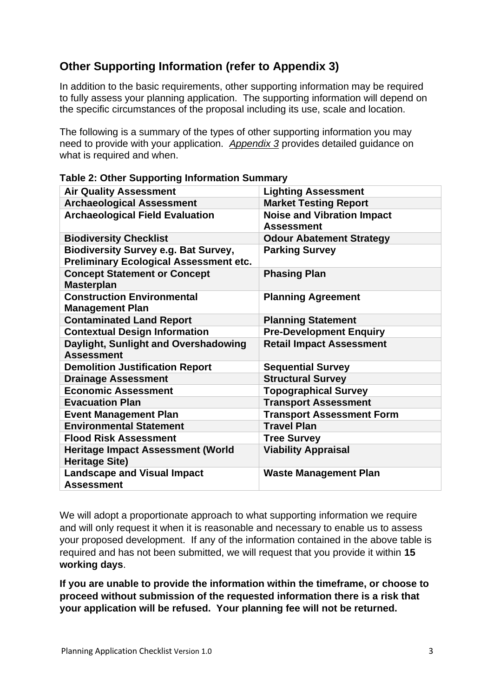#### **Other Supporting Information (refer to Appendix 3)**

In addition to the basic requirements, other supporting information may be required to fully assess your planning application. The supporting information will depend on the specific circumstances of the proposal including its use, scale and location.

The following is a summary of the types of other supporting information you may need to provide with your application. *Appendix 3* provides detailed guidance on what is required and when.

| <b>Air Quality Assessment</b><br><b>Lighting Assessment</b><br><b>Archaeological Assessment</b><br><b>Market Testing Report</b><br><b>Archaeological Field Evaluation</b><br><b>Noise and Vibration Impact</b><br><b>Assessment</b><br><b>Biodiversity Checklist</b><br><b>Odour Abatement Strategy</b><br><b>Biodiversity Survey e.g. Bat Survey,</b><br><b>Parking Survey</b><br><b>Preliminary Ecological Assessment etc.</b><br><b>Concept Statement or Concept</b><br><b>Phasing Plan</b><br><b>Masterplan</b><br><b>Construction Environmental</b><br><b>Planning Agreement</b><br><b>Management Plan</b><br><b>Contaminated Land Report</b><br><b>Planning Statement</b><br><b>Contextual Design Information</b><br><b>Pre-Development Enquiry</b><br>Daylight, Sunlight and Overshadowing<br><b>Retail Impact Assessment</b><br><b>Assessment</b><br><b>Demolition Justification Report</b><br><b>Sequential Survey</b><br><b>Structural Survey</b><br><b>Drainage Assessment</b><br><b>Economic Assessment</b><br><b>Topographical Survey</b><br><b>Transport Assessment</b><br><b>Evacuation Plan</b><br><b>Transport Assessment Form</b><br><b>Event Management Plan</b><br><b>Travel Plan</b><br><b>Environmental Statement</b><br><b>Flood Risk Assessment</b><br><b>Tree Survey</b><br><b>Viability Appraisal</b><br><b>Heritage Impact Assessment (World</b><br><b>Heritage Site)</b><br><b>Landscape and Visual Impact</b><br><b>Waste Management Plan</b><br><b>Assessment</b> |  |
|-------------------------------------------------------------------------------------------------------------------------------------------------------------------------------------------------------------------------------------------------------------------------------------------------------------------------------------------------------------------------------------------------------------------------------------------------------------------------------------------------------------------------------------------------------------------------------------------------------------------------------------------------------------------------------------------------------------------------------------------------------------------------------------------------------------------------------------------------------------------------------------------------------------------------------------------------------------------------------------------------------------------------------------------------------------------------------------------------------------------------------------------------------------------------------------------------------------------------------------------------------------------------------------------------------------------------------------------------------------------------------------------------------------------------------------------------------------------------------------------------|--|
|                                                                                                                                                                                                                                                                                                                                                                                                                                                                                                                                                                                                                                                                                                                                                                                                                                                                                                                                                                                                                                                                                                                                                                                                                                                                                                                                                                                                                                                                                                 |  |
|                                                                                                                                                                                                                                                                                                                                                                                                                                                                                                                                                                                                                                                                                                                                                                                                                                                                                                                                                                                                                                                                                                                                                                                                                                                                                                                                                                                                                                                                                                 |  |
|                                                                                                                                                                                                                                                                                                                                                                                                                                                                                                                                                                                                                                                                                                                                                                                                                                                                                                                                                                                                                                                                                                                                                                                                                                                                                                                                                                                                                                                                                                 |  |
|                                                                                                                                                                                                                                                                                                                                                                                                                                                                                                                                                                                                                                                                                                                                                                                                                                                                                                                                                                                                                                                                                                                                                                                                                                                                                                                                                                                                                                                                                                 |  |
|                                                                                                                                                                                                                                                                                                                                                                                                                                                                                                                                                                                                                                                                                                                                                                                                                                                                                                                                                                                                                                                                                                                                                                                                                                                                                                                                                                                                                                                                                                 |  |
|                                                                                                                                                                                                                                                                                                                                                                                                                                                                                                                                                                                                                                                                                                                                                                                                                                                                                                                                                                                                                                                                                                                                                                                                                                                                                                                                                                                                                                                                                                 |  |
|                                                                                                                                                                                                                                                                                                                                                                                                                                                                                                                                                                                                                                                                                                                                                                                                                                                                                                                                                                                                                                                                                                                                                                                                                                                                                                                                                                                                                                                                                                 |  |
|                                                                                                                                                                                                                                                                                                                                                                                                                                                                                                                                                                                                                                                                                                                                                                                                                                                                                                                                                                                                                                                                                                                                                                                                                                                                                                                                                                                                                                                                                                 |  |
|                                                                                                                                                                                                                                                                                                                                                                                                                                                                                                                                                                                                                                                                                                                                                                                                                                                                                                                                                                                                                                                                                                                                                                                                                                                                                                                                                                                                                                                                                                 |  |
|                                                                                                                                                                                                                                                                                                                                                                                                                                                                                                                                                                                                                                                                                                                                                                                                                                                                                                                                                                                                                                                                                                                                                                                                                                                                                                                                                                                                                                                                                                 |  |
|                                                                                                                                                                                                                                                                                                                                                                                                                                                                                                                                                                                                                                                                                                                                                                                                                                                                                                                                                                                                                                                                                                                                                                                                                                                                                                                                                                                                                                                                                                 |  |
|                                                                                                                                                                                                                                                                                                                                                                                                                                                                                                                                                                                                                                                                                                                                                                                                                                                                                                                                                                                                                                                                                                                                                                                                                                                                                                                                                                                                                                                                                                 |  |
|                                                                                                                                                                                                                                                                                                                                                                                                                                                                                                                                                                                                                                                                                                                                                                                                                                                                                                                                                                                                                                                                                                                                                                                                                                                                                                                                                                                                                                                                                                 |  |
|                                                                                                                                                                                                                                                                                                                                                                                                                                                                                                                                                                                                                                                                                                                                                                                                                                                                                                                                                                                                                                                                                                                                                                                                                                                                                                                                                                                                                                                                                                 |  |
|                                                                                                                                                                                                                                                                                                                                                                                                                                                                                                                                                                                                                                                                                                                                                                                                                                                                                                                                                                                                                                                                                                                                                                                                                                                                                                                                                                                                                                                                                                 |  |
|                                                                                                                                                                                                                                                                                                                                                                                                                                                                                                                                                                                                                                                                                                                                                                                                                                                                                                                                                                                                                                                                                                                                                                                                                                                                                                                                                                                                                                                                                                 |  |
|                                                                                                                                                                                                                                                                                                                                                                                                                                                                                                                                                                                                                                                                                                                                                                                                                                                                                                                                                                                                                                                                                                                                                                                                                                                                                                                                                                                                                                                                                                 |  |
|                                                                                                                                                                                                                                                                                                                                                                                                                                                                                                                                                                                                                                                                                                                                                                                                                                                                                                                                                                                                                                                                                                                                                                                                                                                                                                                                                                                                                                                                                                 |  |
|                                                                                                                                                                                                                                                                                                                                                                                                                                                                                                                                                                                                                                                                                                                                                                                                                                                                                                                                                                                                                                                                                                                                                                                                                                                                                                                                                                                                                                                                                                 |  |
|                                                                                                                                                                                                                                                                                                                                                                                                                                                                                                                                                                                                                                                                                                                                                                                                                                                                                                                                                                                                                                                                                                                                                                                                                                                                                                                                                                                                                                                                                                 |  |

**Table 2: Other Supporting Information Summary**

We will adopt a proportionate approach to what supporting information we require and will only request it when it is reasonable and necessary to enable us to assess your proposed development. If any of the information contained in the above table is required and has not been submitted, we will request that you provide it within **15 working days**.

**If you are unable to provide the information within the timeframe, or choose to proceed without submission of the requested information there is a risk that your application will be refused. Your planning fee will not be returned.**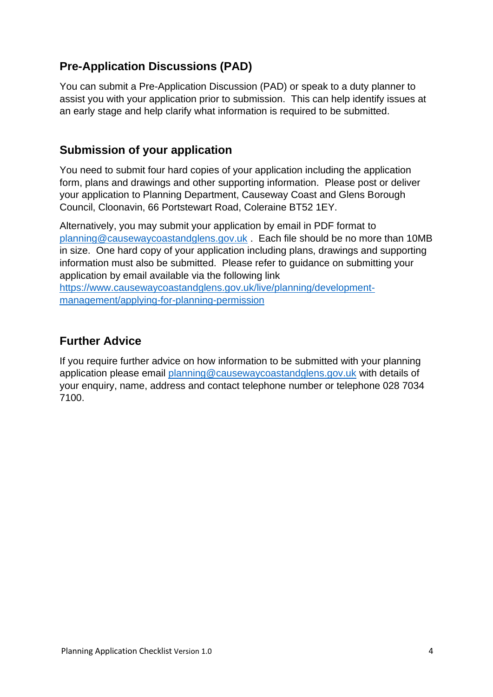#### **Pre-Application Discussions (PAD)**

You can submit a Pre-Application Discussion (PAD) or speak to a duty planner to assist you with your application prior to submission. This can help identify issues at an early stage and help clarify what information is required to be submitted.

#### **Submission of your application**

You need to submit four hard copies of your application including the application form, plans and drawings and other supporting information. Please post or deliver your application to Planning Department, Causeway Coast and Glens Borough Council, Cloonavin, 66 Portstewart Road, Coleraine BT52 1EY.

Alternatively, you may submit your application by email in PDF format to [planning@causewaycoastandglens.gov.uk](mailto:planning@causewaycoastandglens.gov.uk) . Each file should be no more than 10MB in size. One hard copy of your application including plans, drawings and supporting information must also be submitted. Please refer to guidance on submitting your application by email available via the following link

[https://www.causewaycoastandglens.gov.uk/live/planning/development](https://www.causewaycoastandglens.gov.uk/live/planning/development-management/applying-for-planning-permission)[management/applying-for-planning-permission](https://www.causewaycoastandglens.gov.uk/live/planning/development-management/applying-for-planning-permission)

#### **Further Advice**

If you require further advice on how information to be submitted with your planning application please email [planning@causewaycoastandglens.gov.uk](mailto:planning@causewaycoastandglens.gov.uk) with details of your enquiry, name, address and contact telephone number or telephone 028 7034 7100.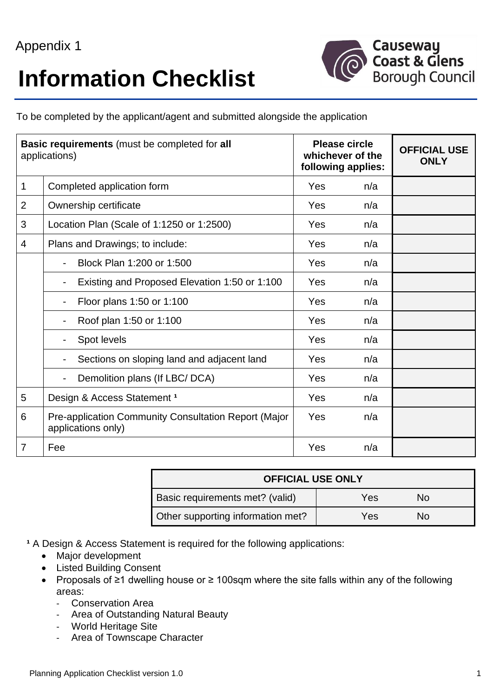## **Information Checklist**



To be completed by the applicant/agent and submitted alongside the application

|                | <b>Basic requirements</b> (must be completed for all<br>applications)      | <b>Please circle</b><br>whichever of the<br>following applies: |     | <b>OFFICIAL USE</b><br><b>ONLY</b> |
|----------------|----------------------------------------------------------------------------|----------------------------------------------------------------|-----|------------------------------------|
| $\mathbf 1$    | Completed application form                                                 | Yes                                                            | n/a |                                    |
| $\overline{2}$ | Ownership certificate                                                      | Yes                                                            | n/a |                                    |
| 3              | Location Plan (Scale of 1:1250 or 1:2500)                                  | Yes                                                            | n/a |                                    |
| 4              | Plans and Drawings; to include:                                            | Yes                                                            | n/a |                                    |
|                | Block Plan 1:200 or 1:500                                                  | Yes                                                            | n/a |                                    |
|                | Existing and Proposed Elevation 1:50 or 1:100                              | Yes                                                            | n/a |                                    |
|                | Floor plans 1:50 or 1:100                                                  | Yes                                                            | n/a |                                    |
|                | Roof plan 1:50 or 1:100                                                    | Yes                                                            | n/a |                                    |
|                | Spot levels                                                                | Yes                                                            | n/a |                                    |
|                | Sections on sloping land and adjacent land                                 | Yes                                                            | n/a |                                    |
|                | Demolition plans (If LBC/ DCA)                                             | Yes                                                            | n/a |                                    |
| 5              | Design & Access Statement 1                                                | Yes                                                            | n/a |                                    |
| 6              | Pre-application Community Consultation Report (Major<br>applications only) | Yes                                                            | n/a |                                    |
| $\overline{7}$ | Fee                                                                        | Yes                                                            | n/a |                                    |

| <b>OFFICIAL USE ONLY</b>          |     |    |
|-----------------------------------|-----|----|
| Basic requirements met? (valid)   | Yes | Nο |
| Other supporting information met? | Yes | N٥ |

<sup>1</sup> A Design & Access Statement is required for the following applications:

- Major development
- Listed Building Consent
- Proposals of ≥1 dwelling house or ≥ 100sqm where the site falls within any of the following areas:
	- Conservation Area
	- Area of Outstanding Natural Beauty
	- World Heritage Site
	- Area of Townscape Character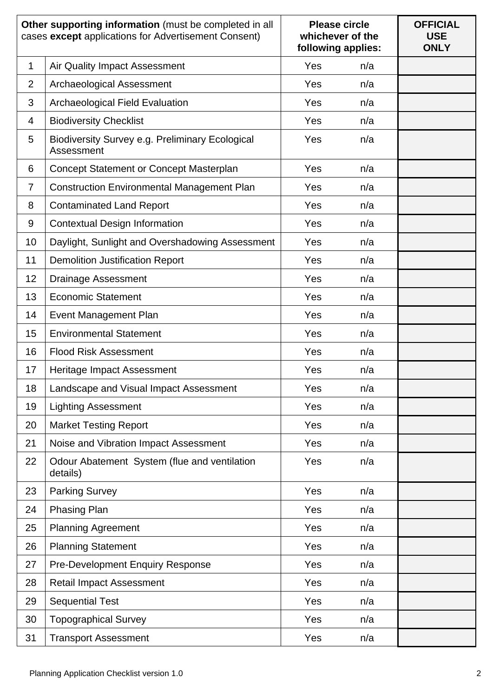|                | Other supporting information (must be completed in all<br>cases except applications for Advertisement Consent) | <b>Please circle</b><br>whichever of the<br>following applies: |     | <b>OFFICIAL</b><br><b>USE</b><br><b>ONLY</b> |
|----------------|----------------------------------------------------------------------------------------------------------------|----------------------------------------------------------------|-----|----------------------------------------------|
| 1              | <b>Air Quality Impact Assessment</b>                                                                           | Yes                                                            | n/a |                                              |
| $\overline{2}$ | <b>Archaeological Assessment</b>                                                                               | Yes                                                            | n/a |                                              |
| 3              | <b>Archaeological Field Evaluation</b>                                                                         | Yes                                                            | n/a |                                              |
| 4              | <b>Biodiversity Checklist</b>                                                                                  | Yes                                                            | n/a |                                              |
| 5              | Biodiversity Survey e.g. Preliminary Ecological<br>Assessment                                                  | Yes                                                            | n/a |                                              |
| 6              | Concept Statement or Concept Masterplan                                                                        | Yes                                                            | n/a |                                              |
| $\overline{7}$ | <b>Construction Environmental Management Plan</b>                                                              | Yes                                                            | n/a |                                              |
| 8              | <b>Contaminated Land Report</b>                                                                                | Yes                                                            | n/a |                                              |
| 9              | <b>Contextual Design Information</b>                                                                           | Yes                                                            | n/a |                                              |
| 10             | Daylight, Sunlight and Overshadowing Assessment                                                                | Yes                                                            | n/a |                                              |
| 11             | <b>Demolition Justification Report</b>                                                                         | Yes                                                            | n/a |                                              |
| 12             | <b>Drainage Assessment</b>                                                                                     | Yes                                                            | n/a |                                              |
| 13             | <b>Economic Statement</b>                                                                                      | Yes                                                            | n/a |                                              |
| 14             | <b>Event Management Plan</b>                                                                                   | Yes                                                            | n/a |                                              |
| 15             | <b>Environmental Statement</b>                                                                                 | Yes                                                            | n/a |                                              |
| 16             | <b>Flood Risk Assessment</b>                                                                                   | Yes                                                            | n/a |                                              |
| 17             | Heritage Impact Assessment                                                                                     | Yes                                                            | n/a |                                              |
| 18             | Landscape and Visual Impact Assessment                                                                         | Yes                                                            | n/a |                                              |
| 19             | <b>Lighting Assessment</b>                                                                                     | Yes                                                            | n/a |                                              |
| 20             | <b>Market Testing Report</b>                                                                                   | Yes                                                            | n/a |                                              |
| 21             | Noise and Vibration Impact Assessment                                                                          | Yes                                                            | n/a |                                              |
| 22             | Odour Abatement System (flue and ventilation<br>details)                                                       | Yes                                                            | n/a |                                              |
| 23             | <b>Parking Survey</b>                                                                                          | Yes                                                            | n/a |                                              |
| 24             | Phasing Plan                                                                                                   | Yes                                                            | n/a |                                              |
| 25             | <b>Planning Agreement</b>                                                                                      | Yes                                                            | n/a |                                              |
| 26             | <b>Planning Statement</b>                                                                                      | Yes                                                            | n/a |                                              |
| 27             | <b>Pre-Development Enquiry Response</b>                                                                        | Yes                                                            | n/a |                                              |
| 28             | <b>Retail Impact Assessment</b>                                                                                | Yes                                                            | n/a |                                              |
| 29             | <b>Sequential Test</b>                                                                                         | Yes                                                            | n/a |                                              |
| 30             | <b>Topographical Survey</b>                                                                                    | Yes                                                            | n/a |                                              |
| 31             | <b>Transport Assessment</b>                                                                                    | Yes                                                            | n/a |                                              |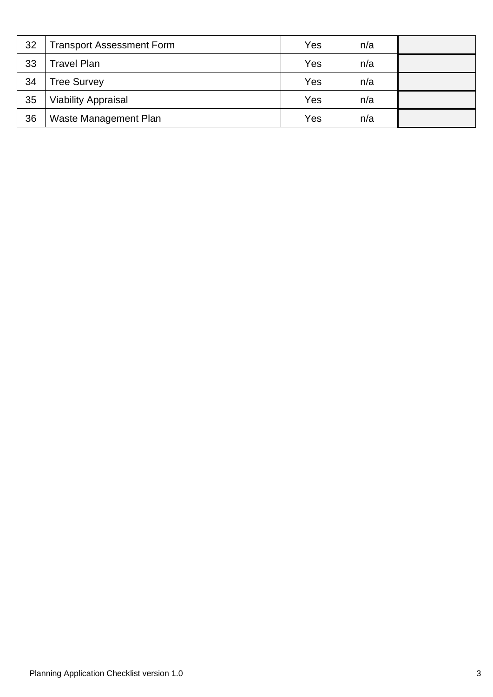| 32 | <b>Transport Assessment Form</b> | Yes | n/a |  |
|----|----------------------------------|-----|-----|--|
| 33 | <b>Travel Plan</b>               | Yes | n/a |  |
| 34 | Tree Survey                      | Yes | n/a |  |
| 35 | <b>Viability Appraisal</b>       | Yes | n/a |  |
| 36 | Waste Management Plan            | Yes | n/a |  |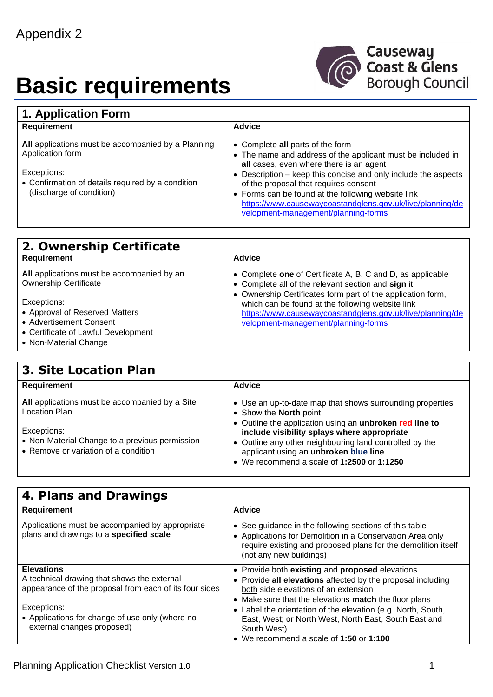# **Basic requirements**



| 1. Application Form                                                    |                                                                                                                                                        |  |
|------------------------------------------------------------------------|--------------------------------------------------------------------------------------------------------------------------------------------------------|--|
| <b>Requirement</b>                                                     | <b>Advice</b>                                                                                                                                          |  |
| All applications must be accompanied by a Planning<br>Application form | • Complete all parts of the form<br>• The name and address of the applicant must be included in                                                        |  |
| Exceptions:<br>• Confirmation of details required by a condition       | all cases, even where there is an agent<br>• Description – keep this concise and only include the aspects<br>of the proposal that requires consent     |  |
| (discharge of condition)                                               | • Forms can be found at the following website link<br>https://www.causewaycoastandglens.gov.uk/live/planning/de<br>velopment-management/planning-forms |  |

| 2. Ownership Certificate                   |                                                             |
|--------------------------------------------|-------------------------------------------------------------|
| <b>Requirement</b>                         | <b>Advice</b>                                               |
| All applications must be accompanied by an | • Complete one of Certificate A, B, C and D, as applicable  |
| <b>Ownership Certificate</b>               | • Complete all of the relevant section and sign it          |
|                                            | • Ownership Certificates form part of the application form, |
| Exceptions:                                | which can be found at the following website link            |
| • Approval of Reserved Matters             | https://www.causewaycoastandglens.gov.uk/live/planning/de   |
| • Advertisement Consent                    | velopment-management/planning-forms                         |
| • Certificate of Lawful Development        |                                                             |
| • Non-Material Change                      |                                                             |

### **3. Site Location Plan**

| Requirement                                                                                           | <b>Advice</b>                                                                                                                                                                                 |
|-------------------------------------------------------------------------------------------------------|-----------------------------------------------------------------------------------------------------------------------------------------------------------------------------------------------|
| All applications must be accompanied by a Site<br>Location Plan                                       | • Use an up-to-date map that shows surrounding properties<br>• Show the North point<br>• Outline the application using an unbroken red line to                                                |
| Exceptions:<br>• Non-Material Change to a previous permission<br>• Remove or variation of a condition | include visibility splays where appropriate<br>• Outline any other neighbouring land controlled by the<br>applicant using an unbroken blue line<br>• We recommend a scale of 1:2500 or 1:1250 |

| 4. Plans and Drawings                                                                                                      |                                                                                                                                                                                                                 |  |
|----------------------------------------------------------------------------------------------------------------------------|-----------------------------------------------------------------------------------------------------------------------------------------------------------------------------------------------------------------|--|
| <b>Requirement</b>                                                                                                         | <b>Advice</b>                                                                                                                                                                                                   |  |
| Applications must be accompanied by appropriate<br>plans and drawings to a specified scale                                 | • See guidance in the following sections of this table<br>• Applications for Demolition in a Conservation Area only<br>require existing and proposed plans for the demolition itself<br>(not any new buildings) |  |
| <b>Elevations</b><br>A technical drawing that shows the external<br>appearance of the proposal from each of its four sides | • Provide both existing and proposed elevations<br>• Provide all elevations affected by the proposal including<br>both side elevations of an extension<br>• Make sure that the elevations match the floor plans |  |
| Exceptions:<br>• Applications for change of use only (where no<br>external changes proposed)                               | • Label the orientation of the elevation (e.g. North, South,<br>East, West; or North West, North East, South East and<br>South West)<br>• We recommend a scale of $1:50$ or $1:100$                             |  |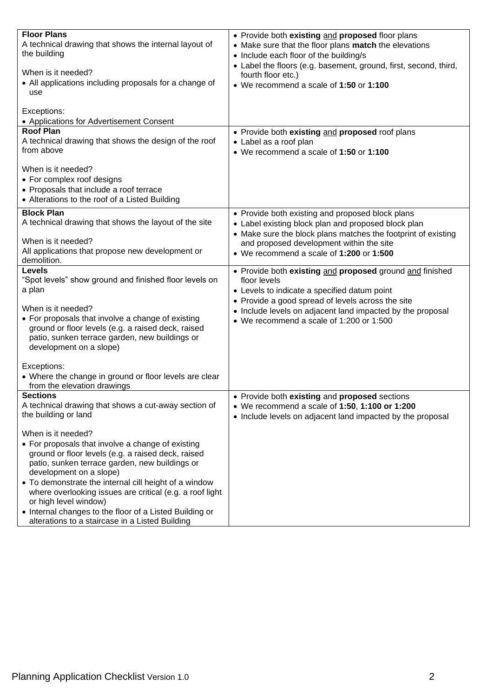| <b>Floor Plans</b><br>A technical drawing that shows the internal layout of<br>the building<br>When is it needed?<br>• All applications including proposals for a change of<br>use                                                                                                                                                                                                                                                                                     | • Provide both existing and proposed floor plans<br>• Make sure that the floor plans match the elevations<br>• Include each floor of the building/s<br>• Label the floors (e.g. basement, ground, first, second, third,<br>fourth floor etc.)<br>• We recommend a scale of 1:50 or 1:100 |
|------------------------------------------------------------------------------------------------------------------------------------------------------------------------------------------------------------------------------------------------------------------------------------------------------------------------------------------------------------------------------------------------------------------------------------------------------------------------|------------------------------------------------------------------------------------------------------------------------------------------------------------------------------------------------------------------------------------------------------------------------------------------|
| Exceptions:<br>• Applications for Advertisement Consent<br><b>Roof Plan</b>                                                                                                                                                                                                                                                                                                                                                                                            | • Provide both existing and proposed roof plans                                                                                                                                                                                                                                          |
| A technical drawing that shows the design of the roof<br>from above                                                                                                                                                                                                                                                                                                                                                                                                    | • Label as a roof plan<br>• We recommend a scale of 1:50 or 1:100                                                                                                                                                                                                                        |
| When is it needed?<br>• For complex roof designs<br>• Proposals that include a roof terrace<br>• Alterations to the roof of a Listed Building                                                                                                                                                                                                                                                                                                                          |                                                                                                                                                                                                                                                                                          |
| <b>Block Plan</b><br>A technical drawing that shows the layout of the site                                                                                                                                                                                                                                                                                                                                                                                             | • Provide both existing and proposed block plans<br>• Label existing block plan and proposed block plan<br>• Make sure the block plans matches the footprint of existing                                                                                                                 |
| When is it needed?<br>All applications that propose new development or<br>demolition.                                                                                                                                                                                                                                                                                                                                                                                  | and proposed development within the site<br>• We recommend a scale of 1:200 or 1:500                                                                                                                                                                                                     |
| <b>Levels</b><br>"Spot levels" show ground and finished floor levels on<br>a plan<br>When is it needed?<br>• For proposals that involve a change of existing<br>ground or floor levels (e.g. a raised deck, raised<br>patio, sunken terrace garden, new buildings or<br>development on a slope)                                                                                                                                                                        | • Provide both existing and proposed ground and finished<br>floor levels<br>• Levels to indicate a specified datum point<br>• Provide a good spread of levels across the site<br>• Include levels on adjacent land impacted by the proposal<br>• We recommend a scale of 1:200 or 1:500  |
| Exceptions:<br>• Where the change in ground or floor levels are clear<br>from the elevation drawings                                                                                                                                                                                                                                                                                                                                                                   |                                                                                                                                                                                                                                                                                          |
| <b>Sections</b><br>A technical drawing that shows a cut-away section of<br>the building or land                                                                                                                                                                                                                                                                                                                                                                        | • Provide both existing and proposed sections<br>• We recommend a scale of 1:50, 1:100 or 1:200<br>• Include levels on adjacent land impacted by the proposal                                                                                                                            |
| When is it needed?<br>• For proposals that involve a change of existing<br>ground or floor levels (e.g. a raised deck, raised<br>patio, sunken terrace garden, new buildings or<br>development on a slope)<br>• To demonstrate the internal cill height of a window<br>where overlooking issues are critical (e.g. a roof light<br>or high level window)<br>• Internal changes to the floor of a Listed Building or<br>alterations to a staircase in a Listed Building |                                                                                                                                                                                                                                                                                          |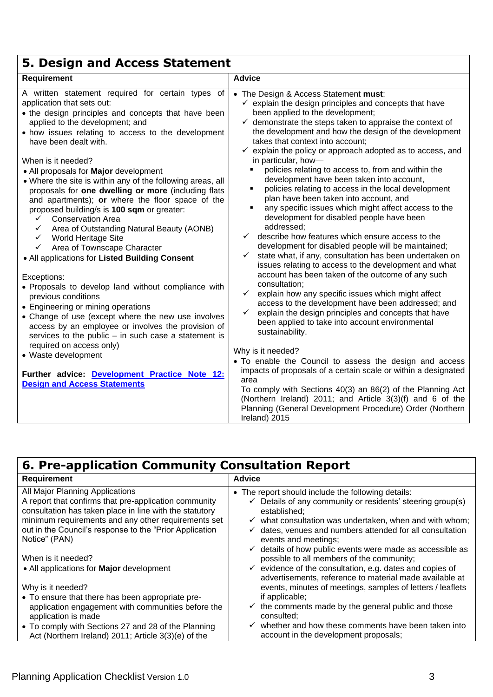| 5. Design and Access Statement                                                                                                                                                                                                                                                                                                                                                                                                                                                                                                                                                                                                                                                                                                                                                                                                                                                                                                                                                                                                                                                                                                              |                                                                                                                                                                                                                                                                                                                                                                                                                                                                                                                                                                                                                                                                                                                                                                                                                                                                                                                                                                                                                                                                                                                                                                                                                                                                                                                                                                      |
|---------------------------------------------------------------------------------------------------------------------------------------------------------------------------------------------------------------------------------------------------------------------------------------------------------------------------------------------------------------------------------------------------------------------------------------------------------------------------------------------------------------------------------------------------------------------------------------------------------------------------------------------------------------------------------------------------------------------------------------------------------------------------------------------------------------------------------------------------------------------------------------------------------------------------------------------------------------------------------------------------------------------------------------------------------------------------------------------------------------------------------------------|----------------------------------------------------------------------------------------------------------------------------------------------------------------------------------------------------------------------------------------------------------------------------------------------------------------------------------------------------------------------------------------------------------------------------------------------------------------------------------------------------------------------------------------------------------------------------------------------------------------------------------------------------------------------------------------------------------------------------------------------------------------------------------------------------------------------------------------------------------------------------------------------------------------------------------------------------------------------------------------------------------------------------------------------------------------------------------------------------------------------------------------------------------------------------------------------------------------------------------------------------------------------------------------------------------------------------------------------------------------------|
| Requirement                                                                                                                                                                                                                                                                                                                                                                                                                                                                                                                                                                                                                                                                                                                                                                                                                                                                                                                                                                                                                                                                                                                                 | <b>Advice</b>                                                                                                                                                                                                                                                                                                                                                                                                                                                                                                                                                                                                                                                                                                                                                                                                                                                                                                                                                                                                                                                                                                                                                                                                                                                                                                                                                        |
| A written statement required for certain types of<br>application that sets out:<br>• the design principles and concepts that have been<br>applied to the development; and<br>• how issues relating to access to the development<br>have been dealt with.<br>When is it needed?<br>• All proposals for Major development<br>• Where the site is within any of the following areas, all<br>proposals for one dwelling or more (including flats<br>and apartments); or where the floor space of the<br>proposed building/s is 100 sqm or greater:<br><b>Conservation Area</b><br>$\checkmark$<br>$\checkmark$<br>Area of Outstanding Natural Beauty (AONB)<br><b>World Heritage Site</b><br>$\checkmark$<br>$\checkmark$<br>Area of Townscape Character<br>• All applications for Listed Building Consent<br>Exceptions:<br>• Proposals to develop land without compliance with<br>previous conditions<br>• Engineering or mining operations<br>• Change of use (except where the new use involves<br>access by an employee or involves the provision of<br>services to the public $-$ in such case a statement is<br>required on access only) | • The Design & Access Statement must:<br>$\checkmark$ explain the design principles and concepts that have<br>been applied to the development;<br>$\checkmark$ demonstrate the steps taken to appraise the context of<br>the development and how the design of the development<br>takes that context into account;<br>$\checkmark$ explain the policy or approach adopted as to access, and<br>in particular, how-<br>policies relating to access to, from and within the<br>development have been taken into account,<br>policies relating to access in the local development<br>٠<br>plan have been taken into account, and<br>any specific issues which might affect access to the<br>٠<br>development for disabled people have been<br>addressed;<br>describe how features which ensure access to the<br>$\checkmark$<br>development for disabled people will be maintained;<br>state what, if any, consultation has been undertaken on<br>$\checkmark$<br>issues relating to access to the development and what<br>account has been taken of the outcome of any such<br>consultation;<br>$\checkmark$<br>explain how any specific issues which might affect<br>access to the development have been addressed; and<br>explain the design principles and concepts that have<br>$\checkmark$<br>been applied to take into account environmental<br>sustainability. |
| • Waste development<br>Further advice: Development Practice Note 12:<br><b>Design and Access Statements</b>                                                                                                                                                                                                                                                                                                                                                                                                                                                                                                                                                                                                                                                                                                                                                                                                                                                                                                                                                                                                                                 | Why is it needed?<br>• To enable the Council to assess the design and access<br>impacts of proposals of a certain scale or within a designated<br>area<br>To comply with Sections 40(3) an 86(2) of the Planning Act<br>(Northern Ireland) 2011; and Article 3(3)(f) and 6 of the<br>Planning (General Development Procedure) Order (Northern<br>Ireland) 2015                                                                                                                                                                                                                                                                                                                                                                                                                                                                                                                                                                                                                                                                                                                                                                                                                                                                                                                                                                                                       |

### **6. Pre-application Community Consultation Report**

| <b>Requirement</b>                                                        | <b>Advice</b>                                                                                   |
|---------------------------------------------------------------------------|-------------------------------------------------------------------------------------------------|
| All Major Planning Applications                                           | • The report should include the following details:                                              |
| A report that confirms that pre-application community                     | $\checkmark$ Details of any community or residents' steering group(s)                           |
| consultation has taken place in line with the statutory                   | established:                                                                                    |
| minimum requirements and any other requirements set                       | $\checkmark$ what consultation was undertaken, when and with whom;                              |
| out in the Council's response to the "Prior Application"<br>Notice" (PAN) | dates, venues and numbers attended for all consultation<br>$\checkmark$<br>events and meetings; |
|                                                                           | $\checkmark$ details of how public events were made as accessible as                            |
| When is it needed?                                                        | possible to all members of the community;                                                       |
| • All applications for <b>Major</b> development                           | $\checkmark$ evidence of the consultation, e.g. dates and copies of                             |
|                                                                           | advertisements, reference to material made available at                                         |
| Why is it needed?                                                         | events, minutes of meetings, samples of letters / leaflets                                      |
| • To ensure that there has been appropriate pre-                          | if applicable;                                                                                  |
| application engagement with communities before the                        | $\checkmark$ the comments made by the general public and those                                  |
| application is made                                                       | consulted:                                                                                      |
| • To comply with Sections 27 and 28 of the Planning                       | $\checkmark$ whether and how these comments have been taken into                                |
| Act (Northern Ireland) 2011; Article 3(3)(e) of the                       | account in the development proposals;                                                           |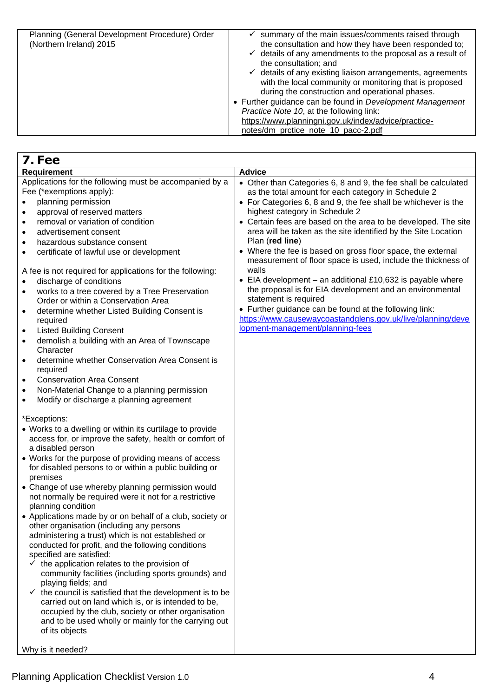| Planning (General Development Procedure) Order<br>(Northern Ireland) 2015 | summary of the main issues/comments raised through<br>the consultation and how they have been responded to;<br>$\checkmark$ details of any amendments to the proposal as a result of<br>the consultation; and<br>$\checkmark$ details of any existing liaison arrangements, agreements<br>with the local community or monitoring that is proposed<br>during the construction and operational phases.<br>• Further guidance can be found in Development Management<br>Practice Note 10, at the following link:<br>https://www.planningni.gov.uk/index/advice/practice-<br>notes/dm protice note 10 pacc-2.pdf |
|---------------------------------------------------------------------------|--------------------------------------------------------------------------------------------------------------------------------------------------------------------------------------------------------------------------------------------------------------------------------------------------------------------------------------------------------------------------------------------------------------------------------------------------------------------------------------------------------------------------------------------------------------------------------------------------------------|
|---------------------------------------------------------------------------|--------------------------------------------------------------------------------------------------------------------------------------------------------------------------------------------------------------------------------------------------------------------------------------------------------------------------------------------------------------------------------------------------------------------------------------------------------------------------------------------------------------------------------------------------------------------------------------------------------------|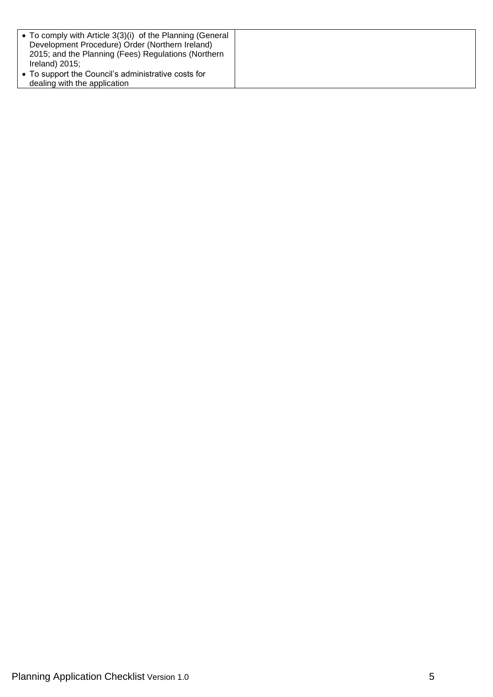| • To comply with Article $3(3)(i)$ of the Planning (General<br>Development Procedure) Order (Northern Ireland)<br>2015; and the Planning (Fees) Regulations (Northern<br>Ireland) $2015$ ; |  |
|--------------------------------------------------------------------------------------------------------------------------------------------------------------------------------------------|--|
| • To support the Council's administrative costs for<br>dealing with the application                                                                                                        |  |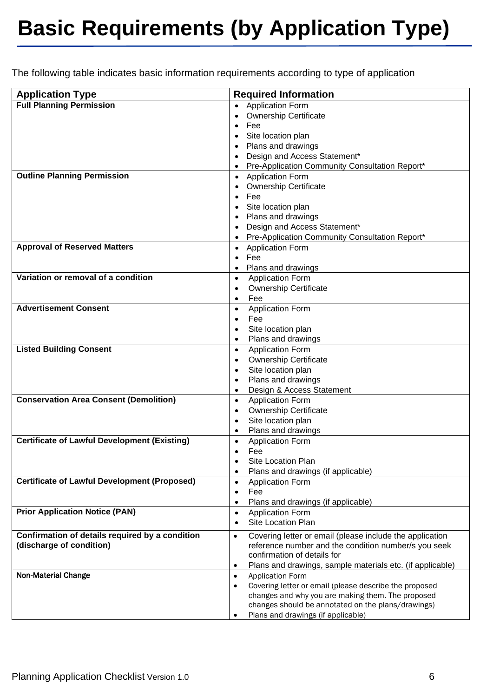## **Basic Requirements (by Application Type)**

The following table indicates basic information requirements according to type of application

| <b>Application Type</b>                             | <b>Required Information</b>                                            |
|-----------------------------------------------------|------------------------------------------------------------------------|
| <b>Full Planning Permission</b>                     | <b>Application Form</b><br>$\bullet$                                   |
|                                                     | <b>Ownership Certificate</b>                                           |
|                                                     | Fee<br>$\bullet$                                                       |
|                                                     | Site location plan                                                     |
|                                                     | Plans and drawings<br>$\bullet$                                        |
|                                                     | Design and Access Statement*                                           |
|                                                     | Pre-Application Community Consultation Report*                         |
| <b>Outline Planning Permission</b>                  | • Application Form                                                     |
|                                                     | <b>Ownership Certificate</b>                                           |
|                                                     | Fee<br>$\bullet$                                                       |
|                                                     | Site location plan                                                     |
|                                                     | Plans and drawings<br>$\bullet$                                        |
|                                                     | Design and Access Statement*                                           |
|                                                     | Pre-Application Community Consultation Report*                         |
| <b>Approval of Reserved Matters</b>                 | <b>Application Form</b><br>$\bullet$                                   |
|                                                     | Fee<br>$\bullet$                                                       |
| Variation or removal of a condition                 | Plans and drawings<br>$\bullet$                                        |
|                                                     | <b>Application Form</b><br>$\bullet$<br><b>Ownership Certificate</b>   |
|                                                     | Fee                                                                    |
| <b>Advertisement Consent</b>                        | <b>Application Form</b><br>$\bullet$                                   |
|                                                     | Fee<br>$\bullet$                                                       |
|                                                     | Site location plan                                                     |
|                                                     | Plans and drawings                                                     |
| <b>Listed Building Consent</b>                      | <b>Application Form</b><br>$\bullet$                                   |
|                                                     | <b>Ownership Certificate</b><br>$\bullet$                              |
|                                                     | Site location plan<br>$\bullet$                                        |
|                                                     | Plans and drawings<br>$\bullet$                                        |
|                                                     | Design & Access Statement<br>$\bullet$                                 |
| <b>Conservation Area Consent (Demolition)</b>       | <b>Application Form</b><br>$\bullet$                                   |
|                                                     | <b>Ownership Certificate</b><br>$\bullet$                              |
|                                                     | Site location plan<br>٠                                                |
|                                                     | Plans and drawings<br>٠                                                |
| <b>Certificate of Lawful Development (Existing)</b> | <b>Application Form</b><br>$\bullet$                                   |
|                                                     | Fee<br>$\bullet$                                                       |
|                                                     | Site Location Plan<br>$\bullet$                                        |
|                                                     | Plans and drawings (if applicable)                                     |
| <b>Certificate of Lawful Development (Proposed)</b> | <b>Application Form</b><br>$\bullet$                                   |
|                                                     | Fee<br>٠                                                               |
| <b>Prior Application Notice (PAN)</b>               | Plans and drawings (if applicable)<br>٠<br><b>Application Form</b>     |
|                                                     | $\bullet$<br>Site Location Plan<br>٠                                   |
| Confirmation of details required by a condition     | Covering letter or email (please include the application<br>$\bullet$  |
| (discharge of condition)                            | reference number and the condition number/s you seek                   |
|                                                     | confirmation of details for                                            |
|                                                     | Plans and drawings, sample materials etc. (if applicable)<br>$\bullet$ |
| <b>Non-Material Change</b>                          | <b>Application Form</b><br>$\bullet$                                   |
|                                                     | Covering letter or email (please describe the proposed<br>$\bullet$    |
|                                                     | changes and why you are making them. The proposed                      |
|                                                     | changes should be annotated on the plans/drawings)                     |
|                                                     | Plans and drawings (if applicable)                                     |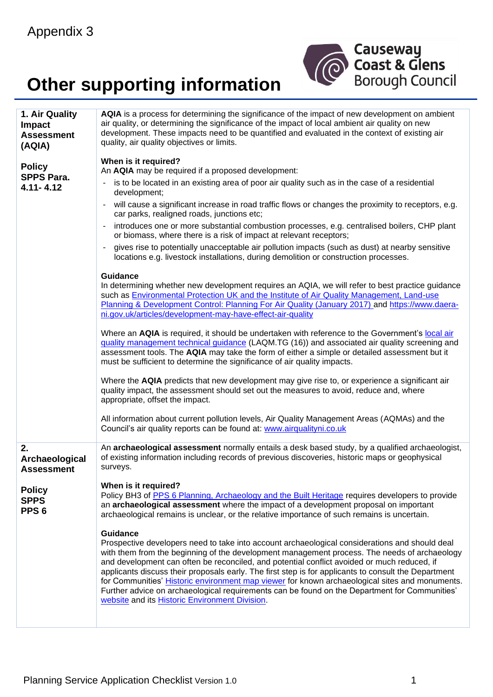## **Other supporting information**



| 1. Air Quality                                   | AQIA is a process for determining the significance of the impact of new development on ambient                                                                                                                                                                                                                                                                                                                                                                                                                                                                                                                                                                                |
|--------------------------------------------------|-------------------------------------------------------------------------------------------------------------------------------------------------------------------------------------------------------------------------------------------------------------------------------------------------------------------------------------------------------------------------------------------------------------------------------------------------------------------------------------------------------------------------------------------------------------------------------------------------------------------------------------------------------------------------------|
| <b>Impact</b>                                    | air quality, or determining the significance of the impact of local ambient air quality on new                                                                                                                                                                                                                                                                                                                                                                                                                                                                                                                                                                                |
| <b>Assessment</b>                                | development. These impacts need to be quantified and evaluated in the context of existing air<br>quality, air quality objectives or limits.                                                                                                                                                                                                                                                                                                                                                                                                                                                                                                                                   |
| (AQIA)                                           |                                                                                                                                                                                                                                                                                                                                                                                                                                                                                                                                                                                                                                                                               |
|                                                  | When is it required?                                                                                                                                                                                                                                                                                                                                                                                                                                                                                                                                                                                                                                                          |
| <b>Policy</b><br><b>SPPS Para.</b>               | An AQIA may be required if a proposed development:                                                                                                                                                                                                                                                                                                                                                                                                                                                                                                                                                                                                                            |
| $4.11 - 4.12$                                    | is to be located in an existing area of poor air quality such as in the case of a residential<br>$\overline{\phantom{0}}$<br>development;                                                                                                                                                                                                                                                                                                                                                                                                                                                                                                                                     |
|                                                  | will cause a significant increase in road traffic flows or changes the proximity to receptors, e.g.<br>$\overline{\phantom{a}}$<br>car parks, realigned roads, junctions etc;                                                                                                                                                                                                                                                                                                                                                                                                                                                                                                 |
|                                                  | introduces one or more substantial combustion processes, e.g. centralised boilers, CHP plant<br>or biomass, where there is a risk of impact at relevant receptors;                                                                                                                                                                                                                                                                                                                                                                                                                                                                                                            |
|                                                  | gives rise to potentially unacceptable air pollution impacts (such as dust) at nearby sensitive<br>$\overline{a}$<br>locations e.g. livestock installations, during demolition or construction processes.                                                                                                                                                                                                                                                                                                                                                                                                                                                                     |
|                                                  | <b>Guidance</b>                                                                                                                                                                                                                                                                                                                                                                                                                                                                                                                                                                                                                                                               |
|                                                  | In determining whether new development requires an AQIA, we will refer to best practice guidance<br>such as Environmental Protection UK and the Institute of Air Quality Management, Land-use<br>Planning & Development Control: Planning For Air Quality (January 2017) and https://www.daera-<br>ni.gov.uk/articles/development-may-have-effect-air-quality                                                                                                                                                                                                                                                                                                                 |
|                                                  | Where an AQIA is required, it should be undertaken with reference to the Government's local air<br>guality management technical guidance (LAQM.TG (16)) and associated air quality screening and<br>assessment tools. The AQIA may take the form of either a simple or detailed assessment but it<br>must be sufficient to determine the significance of air quality impacts.                                                                                                                                                                                                                                                                                                 |
|                                                  | Where the AQIA predicts that new development may give rise to, or experience a significant air<br>quality impact, the assessment should set out the measures to avoid, reduce and, where<br>appropriate, offset the impact.                                                                                                                                                                                                                                                                                                                                                                                                                                                   |
|                                                  | All information about current pollution levels, Air Quality Management Areas (AQMAs) and the<br>Council's air quality reports can be found at: www.airqualityni.co.uk                                                                                                                                                                                                                                                                                                                                                                                                                                                                                                         |
| 2.<br>Archaeological<br><b>Assessment</b>        | An archaeological assessment normally entails a desk based study, by a qualified archaeologist,<br>of existing information including records of previous discoveries, historic maps or geophysical<br>surveys.                                                                                                                                                                                                                                                                                                                                                                                                                                                                |
| <b>Policy</b><br><b>SPPS</b><br>PPS <sub>6</sub> | When is it required?<br>Policy BH3 of PPS 6 Planning, Archaeology and the Built Heritage requires developers to provide<br>an archaeological assessment where the impact of a development proposal on important<br>archaeological remains is unclear, or the relative importance of such remains is uncertain.                                                                                                                                                                                                                                                                                                                                                                |
|                                                  | <b>Guidance</b><br>Prospective developers need to take into account archaeological considerations and should deal<br>with them from the beginning of the development management process. The needs of archaeology<br>and development can often be reconciled, and potential conflict avoided or much reduced, if<br>applicants discuss their proposals early. The first step is for applicants to consult the Department<br>for Communities' Historic environment map viewer for known archaeological sites and monuments.<br>Further advice on archaeological requirements can be found on the Department for Communities'<br>website and its Historic Environment Division. |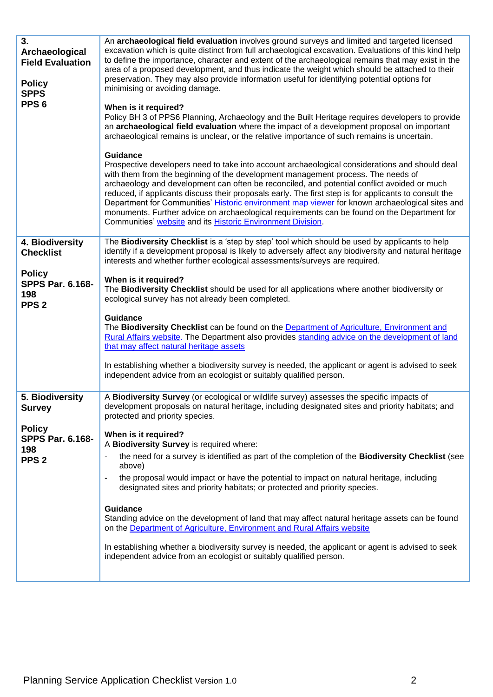| 3.<br>Archaeological<br><b>Field Evaluation</b><br><b>Policy</b><br><b>SPPS</b><br>PPS <sub>6</sub> | An archaeological field evaluation involves ground surveys and limited and targeted licensed<br>excavation which is quite distinct from full archaeological excavation. Evaluations of this kind help<br>to define the importance, character and extent of the archaeological remains that may exist in the<br>area of a proposed development, and thus indicate the weight which should be attached to their<br>preservation. They may also provide information useful for identifying potential options for<br>minimising or avoiding damage.<br>When is it required?<br>Policy BH 3 of PPS6 Planning, Archaeology and the Built Heritage requires developers to provide<br>an archaeological field evaluation where the impact of a development proposal on important<br>archaeological remains is unclear, or the relative importance of such remains is uncertain.<br><b>Guidance</b><br>Prospective developers need to take into account archaeological considerations and should deal<br>with them from the beginning of the development management process. The needs of<br>archaeology and development can often be reconciled, and potential conflict avoided or much<br>reduced, if applicants discuss their proposals early. The first step is for applicants to consult the<br>Department for Communities' Historic environment map viewer for known archaeological sites and<br>monuments. Further advice on archaeological requirements can be found on the Department for<br>Communities' website and its Historic Environment Division. |
|-----------------------------------------------------------------------------------------------------|----------------------------------------------------------------------------------------------------------------------------------------------------------------------------------------------------------------------------------------------------------------------------------------------------------------------------------------------------------------------------------------------------------------------------------------------------------------------------------------------------------------------------------------------------------------------------------------------------------------------------------------------------------------------------------------------------------------------------------------------------------------------------------------------------------------------------------------------------------------------------------------------------------------------------------------------------------------------------------------------------------------------------------------------------------------------------------------------------------------------------------------------------------------------------------------------------------------------------------------------------------------------------------------------------------------------------------------------------------------------------------------------------------------------------------------------------------------------------------------------------------------------------------------------------------|
| 4. Biodiversity<br><b>Checklist</b>                                                                 | The Biodiversity Checklist is a 'step by step' tool which should be used by applicants to help<br>identify if a development proposal is likely to adversely affect any biodiversity and natural heritage<br>interests and whether further ecological assessments/surveys are required.                                                                                                                                                                                                                                                                                                                                                                                                                                                                                                                                                                                                                                                                                                                                                                                                                                                                                                                                                                                                                                                                                                                                                                                                                                                                   |
| <b>Policy</b><br><b>SPPS Par. 6.168-</b><br>198<br>PPS <sub>2</sub>                                 | When is it required?<br>The Biodiversity Checklist should be used for all applications where another biodiversity or<br>ecological survey has not already been completed.<br><b>Guidance</b><br>The Biodiversity Checklist can be found on the Department of Agriculture, Environment and<br>Rural Affairs website. The Department also provides standing advice on the development of land<br>that may affect natural heritage assets<br>In establishing whether a biodiversity survey is needed, the applicant or agent is advised to seek<br>independent advice from an ecologist or suitably qualified person.                                                                                                                                                                                                                                                                                                                                                                                                                                                                                                                                                                                                                                                                                                                                                                                                                                                                                                                                       |
| 5. Biodiversity<br><b>Survey</b>                                                                    | A Biodiversity Survey (or ecological or wildlife survey) assesses the specific impacts of<br>development proposals on natural heritage, including designated sites and priority habitats; and<br>protected and priority species.                                                                                                                                                                                                                                                                                                                                                                                                                                                                                                                                                                                                                                                                                                                                                                                                                                                                                                                                                                                                                                                                                                                                                                                                                                                                                                                         |
| <b>Policy</b><br><b>SPPS Par. 6.168-</b><br>198<br>PPS <sub>2</sub>                                 | When is it required?<br>A Biodiversity Survey is required where:<br>the need for a survey is identified as part of the completion of the <b>Biodiversity Checklist</b> (see<br>above)<br>the proposal would impact or have the potential to impact on natural heritage, including<br>$\blacksquare$<br>designated sites and priority habitats; or protected and priority species.<br><b>Guidance</b><br>Standing advice on the development of land that may affect natural heritage assets can be found<br>on the Department of Agriculture, Environment and Rural Affairs website<br>In establishing whether a biodiversity survey is needed, the applicant or agent is advised to seek<br>independent advice from an ecologist or suitably qualified person.                                                                                                                                                                                                                                                                                                                                                                                                                                                                                                                                                                                                                                                                                                                                                                                           |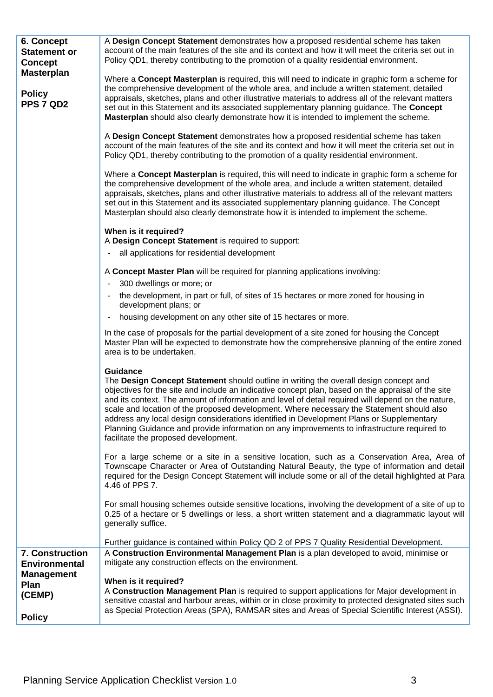| 6. Concept<br><b>Statement or</b><br><b>Concept</b> | A Design Concept Statement demonstrates how a proposed residential scheme has taken<br>account of the main features of the site and its context and how it will meet the criteria set out in<br>Policy QD1, thereby contributing to the promotion of a quality residential environment.                                                                                                                                                                                                                                                                                                                                                              |
|-----------------------------------------------------|------------------------------------------------------------------------------------------------------------------------------------------------------------------------------------------------------------------------------------------------------------------------------------------------------------------------------------------------------------------------------------------------------------------------------------------------------------------------------------------------------------------------------------------------------------------------------------------------------------------------------------------------------|
| <b>Masterplan</b><br><b>Policy</b><br>PPS 7 QD2     | Where a Concept Masterplan is required, this will need to indicate in graphic form a scheme for<br>the comprehensive development of the whole area, and include a written statement, detailed<br>appraisals, sketches, plans and other illustrative materials to address all of the relevant matters<br>set out in this Statement and its associated supplementary planning guidance. The Concept<br>Masterplan should also clearly demonstrate how it is intended to implement the scheme.                                                                                                                                                          |
|                                                     | A Design Concept Statement demonstrates how a proposed residential scheme has taken<br>account of the main features of the site and its context and how it will meet the criteria set out in<br>Policy QD1, thereby contributing to the promotion of a quality residential environment.                                                                                                                                                                                                                                                                                                                                                              |
|                                                     | Where a Concept Masterplan is required, this will need to indicate in graphic form a scheme for<br>the comprehensive development of the whole area, and include a written statement, detailed<br>appraisals, sketches, plans and other illustrative materials to address all of the relevant matters<br>set out in this Statement and its associated supplementary planning guidance. The Concept<br>Masterplan should also clearly demonstrate how it is intended to implement the scheme.                                                                                                                                                          |
|                                                     | When is it required?                                                                                                                                                                                                                                                                                                                                                                                                                                                                                                                                                                                                                                 |
|                                                     | A Design Concept Statement is required to support:<br>all applications for residential development                                                                                                                                                                                                                                                                                                                                                                                                                                                                                                                                                   |
|                                                     |                                                                                                                                                                                                                                                                                                                                                                                                                                                                                                                                                                                                                                                      |
|                                                     | A Concept Master Plan will be required for planning applications involving:                                                                                                                                                                                                                                                                                                                                                                                                                                                                                                                                                                          |
|                                                     | 300 dwellings or more; or<br>the development, in part or full, of sites of 15 hectares or more zoned for housing in<br>$\blacksquare$                                                                                                                                                                                                                                                                                                                                                                                                                                                                                                                |
|                                                     | development plans; or                                                                                                                                                                                                                                                                                                                                                                                                                                                                                                                                                                                                                                |
|                                                     | housing development on any other site of 15 hectares or more.                                                                                                                                                                                                                                                                                                                                                                                                                                                                                                                                                                                        |
|                                                     | In the case of proposals for the partial development of a site zoned for housing the Concept<br>Master Plan will be expected to demonstrate how the comprehensive planning of the entire zoned<br>area is to be undertaken.                                                                                                                                                                                                                                                                                                                                                                                                                          |
|                                                     | <b>Guidance</b><br>The Design Concept Statement should outline in writing the overall design concept and<br>objectives for the site and include an indicative concept plan, based on the appraisal of the site<br>and its context. The amount of information and level of detail required will depend on the nature.<br>scale and location of the proposed development. Where necessary the Statement should also<br>address any local design considerations identified in Development Plans or Supplementary<br>Planning Guidance and provide information on any improvements to infrastructure required to<br>facilitate the proposed development. |
|                                                     | For a large scheme or a site in a sensitive location, such as a Conservation Area, Area of<br>Townscape Character or Area of Outstanding Natural Beauty, the type of information and detail<br>required for the Design Concept Statement will include some or all of the detail highlighted at Para<br>4.46 of PPS 7.                                                                                                                                                                                                                                                                                                                                |
|                                                     | For small housing schemes outside sensitive locations, involving the development of a site of up to<br>0.25 of a hectare or 5 dwellings or less, a short written statement and a diagrammatic layout will<br>generally suffice.                                                                                                                                                                                                                                                                                                                                                                                                                      |
|                                                     | Further guidance is contained within Policy QD 2 of PPS 7 Quality Residential Development.                                                                                                                                                                                                                                                                                                                                                                                                                                                                                                                                                           |
| 7. Construction<br><b>Environmental</b>             | A Construction Environmental Management Plan is a plan developed to avoid, minimise or<br>mitigate any construction effects on the environment.                                                                                                                                                                                                                                                                                                                                                                                                                                                                                                      |
| <b>Management</b>                                   | When is it required?                                                                                                                                                                                                                                                                                                                                                                                                                                                                                                                                                                                                                                 |
| Plan<br>(CEMP)                                      | A Construction Management Plan is required to support applications for Major development in                                                                                                                                                                                                                                                                                                                                                                                                                                                                                                                                                          |
|                                                     | sensitive coastal and harbour areas, within or in close proximity to protected designated sites such<br>as Special Protection Areas (SPA), RAMSAR sites and Areas of Special Scientific Interest (ASSI).                                                                                                                                                                                                                                                                                                                                                                                                                                             |
| <b>Policy</b>                                       |                                                                                                                                                                                                                                                                                                                                                                                                                                                                                                                                                                                                                                                      |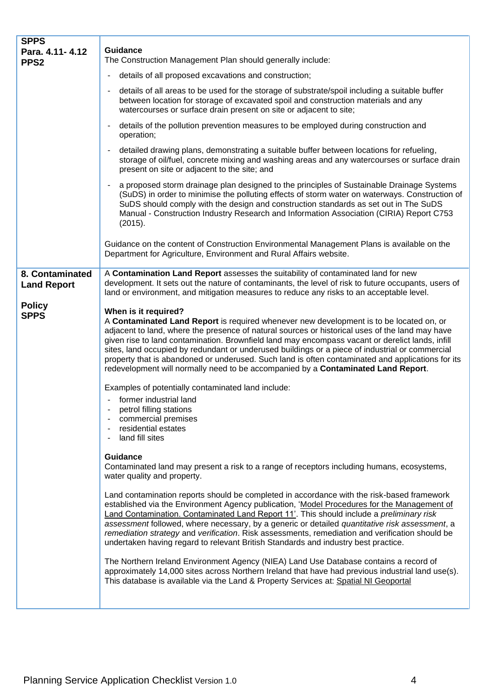| <b>SPPS</b><br>Para. 4.11-4.12<br>PPS <sub>2</sub> | <b>Guidance</b><br>The Construction Management Plan should generally include:                                                                                                                                                                                                                                                                                                                                                                                                                                                                                                                                       |
|----------------------------------------------------|---------------------------------------------------------------------------------------------------------------------------------------------------------------------------------------------------------------------------------------------------------------------------------------------------------------------------------------------------------------------------------------------------------------------------------------------------------------------------------------------------------------------------------------------------------------------------------------------------------------------|
|                                                    | details of all proposed excavations and construction;<br>-                                                                                                                                                                                                                                                                                                                                                                                                                                                                                                                                                          |
|                                                    | details of all areas to be used for the storage of substrate/spoil including a suitable buffer<br>٠<br>between location for storage of excavated spoil and construction materials and any<br>watercourses or surface drain present on site or adjacent to site;                                                                                                                                                                                                                                                                                                                                                     |
|                                                    | details of the pollution prevention measures to be employed during construction and<br>$\blacksquare$<br>operation;                                                                                                                                                                                                                                                                                                                                                                                                                                                                                                 |
|                                                    | detailed drawing plans, demonstrating a suitable buffer between locations for refueling,<br>$\blacksquare$<br>storage of oil/fuel, concrete mixing and washing areas and any watercourses or surface drain<br>present on site or adjacent to the site; and                                                                                                                                                                                                                                                                                                                                                          |
|                                                    | a proposed storm drainage plan designed to the principles of Sustainable Drainage Systems<br>$\blacksquare$<br>(SuDS) in order to minimise the polluting effects of storm water on waterways. Construction of<br>SuDS should comply with the design and construction standards as set out in The SuDS<br>Manual - Construction Industry Research and Information Association (CIRIA) Report C753<br>(2015).                                                                                                                                                                                                         |
|                                                    | Guidance on the content of Construction Environmental Management Plans is available on the<br>Department for Agriculture, Environment and Rural Affairs website.                                                                                                                                                                                                                                                                                                                                                                                                                                                    |
| 8. Contaminated<br><b>Land Report</b>              | A Contamination Land Report assesses the suitability of contaminated land for new<br>development. It sets out the nature of contaminants, the level of risk to future occupants, users of<br>land or environment, and mitigation measures to reduce any risks to an acceptable level.                                                                                                                                                                                                                                                                                                                               |
| <b>Policy</b><br><b>SPPS</b>                       | When is it required?<br>A Contaminated Land Report is required whenever new development is to be located on, or<br>adjacent to land, where the presence of natural sources or historical uses of the land may have<br>given rise to land contamination. Brownfield land may encompass vacant or derelict lands, infill<br>sites, land occupied by redundant or underused buildings or a piece of industrial or commercial<br>property that is abandoned or underused. Such land is often contaminated and applications for its<br>redevelopment will normally need to be accompanied by a Contaminated Land Report. |
|                                                    | Examples of potentially contaminated land include:<br>- former industrial land<br>petrol filling stations<br>commercial premises<br>residential estates<br>land fill sites<br>-                                                                                                                                                                                                                                                                                                                                                                                                                                     |
|                                                    | <b>Guidance</b><br>Contaminated land may present a risk to a range of receptors including humans, ecosystems,<br>water quality and property.                                                                                                                                                                                                                                                                                                                                                                                                                                                                        |
|                                                    | Land contamination reports should be completed in accordance with the risk-based framework<br>established via the Environment Agency publication, 'Model Procedures for the Management of<br>Land Contamination. Contaminated Land Report 11'. This should include a preliminary risk<br>assessment followed, where necessary, by a generic or detailed quantitative risk assessment, a<br>remediation strategy and verification. Risk assessments, remediation and verification should be<br>undertaken having regard to relevant British Standards and industry best practice.                                    |
|                                                    | The Northern Ireland Environment Agency (NIEA) Land Use Database contains a record of<br>approximately 14,000 sites across Northern Ireland that have had previous industrial land use(s).<br>This database is available via the Land & Property Services at: Spatial NI Geoportal                                                                                                                                                                                                                                                                                                                                  |
|                                                    |                                                                                                                                                                                                                                                                                                                                                                                                                                                                                                                                                                                                                     |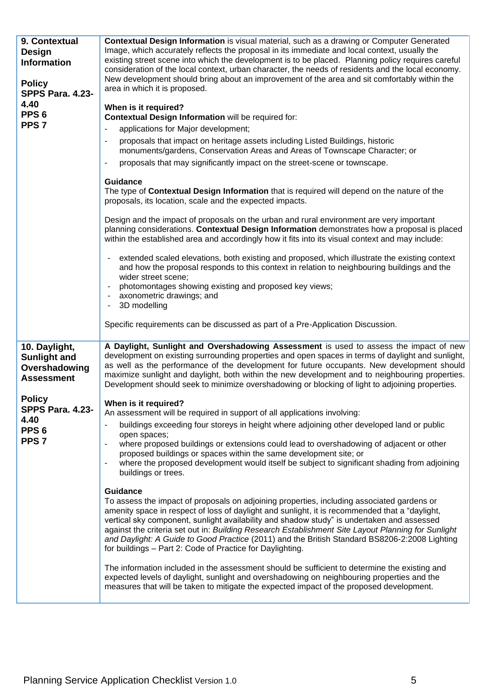| 9. Contextual<br><b>Design</b><br><b>Information</b><br><b>Policy</b><br><b>SPPS Para. 4.23-</b><br>4.40<br>PPS <sub>6</sub><br>PPS <sub>7</sub> | <b>Contextual Design Information</b> is visual material, such as a drawing or Computer Generated<br>Image, which accurately reflects the proposal in its immediate and local context, usually the<br>existing street scene into which the development is to be placed. Planning policy requires careful<br>consideration of the local context, urban character, the needs of residents and the local economy.<br>New development should bring about an improvement of the area and sit comfortably within the<br>area in which it is proposed.<br>When is it required?<br>Contextual Design Information will be required for:<br>applications for Major development;<br>$\overline{\phantom{a}}$<br>proposals that impact on heritage assets including Listed Buildings, historic<br>monuments/gardens, Conservation Areas and Areas of Townscape Character; or<br>proposals that may significantly impact on the street-scene or townscape.<br>$\overline{\phantom{a}}$<br><b>Guidance</b><br>The type of <b>Contextual Design Information</b> that is required will depend on the nature of the<br>proposals, its location, scale and the expected impacts.<br>Design and the impact of proposals on the urban and rural environment are very important<br>planning considerations. Contextual Design Information demonstrates how a proposal is placed<br>within the established area and accordingly how it fits into its visual context and may include:<br>extended scaled elevations, both existing and proposed, which illustrate the existing context<br>and how the proposal responds to this context in relation to neighbouring buildings and the<br>wider street scene;<br>photomontages showing existing and proposed key views;<br>axonometric drawings; and<br>3D modelling<br>Specific requirements can be discussed as part of a Pre-Application Discussion. |
|--------------------------------------------------------------------------------------------------------------------------------------------------|--------------------------------------------------------------------------------------------------------------------------------------------------------------------------------------------------------------------------------------------------------------------------------------------------------------------------------------------------------------------------------------------------------------------------------------------------------------------------------------------------------------------------------------------------------------------------------------------------------------------------------------------------------------------------------------------------------------------------------------------------------------------------------------------------------------------------------------------------------------------------------------------------------------------------------------------------------------------------------------------------------------------------------------------------------------------------------------------------------------------------------------------------------------------------------------------------------------------------------------------------------------------------------------------------------------------------------------------------------------------------------------------------------------------------------------------------------------------------------------------------------------------------------------------------------------------------------------------------------------------------------------------------------------------------------------------------------------------------------------------------------------------------------------------------------------------------------------------------------------------------------|
| 10. Daylight,<br><b>Sunlight and</b>                                                                                                             | A Daylight, Sunlight and Overshadowing Assessment is used to assess the impact of new<br>development on existing surrounding properties and open spaces in terms of daylight and sunlight,                                                                                                                                                                                                                                                                                                                                                                                                                                                                                                                                                                                                                                                                                                                                                                                                                                                                                                                                                                                                                                                                                                                                                                                                                                                                                                                                                                                                                                                                                                                                                                                                                                                                                     |
| Overshadowing<br><b>Assessment</b>                                                                                                               | as well as the performance of the development for future occupants. New development should<br>maximize sunlight and daylight, both within the new development and to neighbouring properties.<br>Development should seek to minimize overshadowing or blocking of light to adjoining properties.                                                                                                                                                                                                                                                                                                                                                                                                                                                                                                                                                                                                                                                                                                                                                                                                                                                                                                                                                                                                                                                                                                                                                                                                                                                                                                                                                                                                                                                                                                                                                                               |
| <b>Policy</b><br><b>SPPS Para. 4.23-</b>                                                                                                         | When is it required?                                                                                                                                                                                                                                                                                                                                                                                                                                                                                                                                                                                                                                                                                                                                                                                                                                                                                                                                                                                                                                                                                                                                                                                                                                                                                                                                                                                                                                                                                                                                                                                                                                                                                                                                                                                                                                                           |
| 4.40<br>PPS <sub>6</sub>                                                                                                                         | An assessment will be required in support of all applications involving:<br>buildings exceeding four storeys in height where adjoining other developed land or public                                                                                                                                                                                                                                                                                                                                                                                                                                                                                                                                                                                                                                                                                                                                                                                                                                                                                                                                                                                                                                                                                                                                                                                                                                                                                                                                                                                                                                                                                                                                                                                                                                                                                                          |
| PPS <sub>7</sub>                                                                                                                                 | open spaces;<br>where proposed buildings or extensions could lead to overshadowing of adjacent or other<br>proposed buildings or spaces within the same development site; or<br>where the proposed development would itself be subject to significant shading from adjoining<br>÷,<br>buildings or trees.                                                                                                                                                                                                                                                                                                                                                                                                                                                                                                                                                                                                                                                                                                                                                                                                                                                                                                                                                                                                                                                                                                                                                                                                                                                                                                                                                                                                                                                                                                                                                                      |
|                                                                                                                                                  | Guidance<br>To assess the impact of proposals on adjoining properties, including associated gardens or<br>amenity space in respect of loss of daylight and sunlight, it is recommended that a "daylight,<br>vertical sky component, sunlight availability and shadow study" is undertaken and assessed<br>against the criteria set out in: Building Research Establishment Site Layout Planning for Sunlight<br>and Daylight: A Guide to Good Practice (2011) and the British Standard BS8206-2:2008 Lighting<br>for buildings - Part 2: Code of Practice for Daylighting.<br>The information included in the assessment should be sufficient to determine the existing and<br>expected levels of daylight, sunlight and overshadowing on neighbouring properties and the<br>measures that will be taken to mitigate the expected impact of the proposed development.                                                                                                                                                                                                                                                                                                                                                                                                                                                                                                                                                                                                                                                                                                                                                                                                                                                                                                                                                                                                          |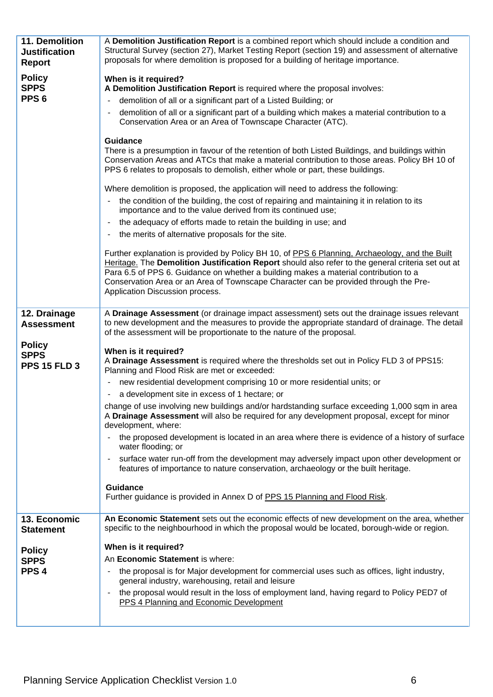| 11. Demolition<br><b>Justification</b> | A Demolition Justification Report is a combined report which should include a condition and<br>Structural Survey (section 27), Market Testing Report (section 19) and assessment of alternative                                                                                                                                                                                                                         |
|----------------------------------------|-------------------------------------------------------------------------------------------------------------------------------------------------------------------------------------------------------------------------------------------------------------------------------------------------------------------------------------------------------------------------------------------------------------------------|
| <b>Report</b>                          | proposals for where demolition is proposed for a building of heritage importance.                                                                                                                                                                                                                                                                                                                                       |
| <b>Policy</b>                          | When is it required?                                                                                                                                                                                                                                                                                                                                                                                                    |
| <b>SPPS</b><br>PPS <sub>6</sub>        | A Demolition Justification Report is required where the proposal involves:                                                                                                                                                                                                                                                                                                                                              |
|                                        | demolition of all or a significant part of a Listed Building; or<br>-                                                                                                                                                                                                                                                                                                                                                   |
|                                        | demolition of all or a significant part of a building which makes a material contribution to a<br>Conservation Area or an Area of Townscape Character (ATC).                                                                                                                                                                                                                                                            |
|                                        | <b>Guidance</b>                                                                                                                                                                                                                                                                                                                                                                                                         |
|                                        | There is a presumption in favour of the retention of both Listed Buildings, and buildings within<br>Conservation Areas and ATCs that make a material contribution to those areas. Policy BH 10 of<br>PPS 6 relates to proposals to demolish, either whole or part, these buildings.                                                                                                                                     |
|                                        | Where demolition is proposed, the application will need to address the following:                                                                                                                                                                                                                                                                                                                                       |
|                                        | the condition of the building, the cost of repairing and maintaining it in relation to its<br>importance and to the value derived from its continued use;                                                                                                                                                                                                                                                               |
|                                        | the adequacy of efforts made to retain the building in use; and<br>۰                                                                                                                                                                                                                                                                                                                                                    |
|                                        | the merits of alternative proposals for the site.<br>۰                                                                                                                                                                                                                                                                                                                                                                  |
|                                        | Further explanation is provided by Policy BH 10, of PPS 6 Planning, Archaeology, and the Built<br>Heritage. The Demolition Justification Report should also refer to the general criteria set out at<br>Para 6.5 of PPS 6. Guidance on whether a building makes a material contribution to a<br>Conservation Area or an Area of Townscape Character can be provided through the Pre-<br>Application Discussion process. |
| 12. Drainage<br><b>Assessment</b>      | A Drainage Assessment (or drainage impact assessment) sets out the drainage issues relevant<br>to new development and the measures to provide the appropriate standard of drainage. The detail<br>of the assessment will be proportionate to the nature of the proposal.                                                                                                                                                |
| <b>Policy</b><br><b>SPPS</b>           | When is it required?                                                                                                                                                                                                                                                                                                                                                                                                    |
| <b>PPS 15 FLD 3</b>                    | A Drainage Assessment is required where the thresholds set out in Policy FLD 3 of PPS15:<br>Planning and Flood Risk are met or exceeded:                                                                                                                                                                                                                                                                                |
|                                        | new residential development comprising 10 or more residential units; or<br>۰                                                                                                                                                                                                                                                                                                                                            |
|                                        | a development site in excess of 1 hectare; or                                                                                                                                                                                                                                                                                                                                                                           |
|                                        | change of use involving new buildings and/or hardstanding surface exceeding 1,000 sqm in area<br>A Drainage Assessment will also be required for any development proposal, except for minor                                                                                                                                                                                                                             |
|                                        | development, where:<br>the proposed development is located in an area where there is evidence of a history of surface<br>$\overline{\phantom{0}}$<br>water flooding; or                                                                                                                                                                                                                                                 |
|                                        | surface water run-off from the development may adversely impact upon other development or<br>features of importance to nature conservation, archaeology or the built heritage.                                                                                                                                                                                                                                          |
|                                        | Guidance                                                                                                                                                                                                                                                                                                                                                                                                                |
|                                        | Further guidance is provided in Annex D of PPS 15 Planning and Flood Risk.                                                                                                                                                                                                                                                                                                                                              |
| 13. Economic<br><b>Statement</b>       | An Economic Statement sets out the economic effects of new development on the area, whether<br>specific to the neighbourhood in which the proposal would be located, borough-wide or region.                                                                                                                                                                                                                            |
|                                        | When is it required?                                                                                                                                                                                                                                                                                                                                                                                                    |
| <b>Policy</b><br><b>SPPS</b>           | An Economic Statement is where:                                                                                                                                                                                                                                                                                                                                                                                         |
| PPS <sub>4</sub>                       | the proposal is for Major development for commercial uses such as offices, light industry,<br>$\overline{\phantom{0}}$<br>general industry, warehousing, retail and leisure                                                                                                                                                                                                                                             |
|                                        | the proposal would result in the loss of employment land, having regard to Policy PED7 of<br>$\blacksquare$<br>PPS 4 Planning and Economic Development                                                                                                                                                                                                                                                                  |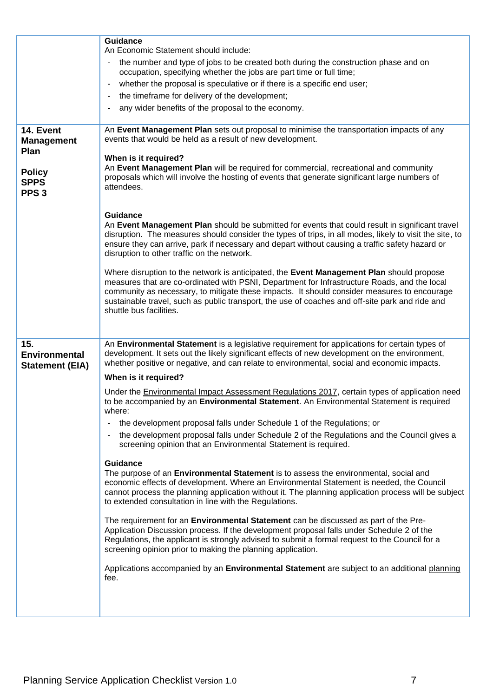|                                                  | Guidance<br>An Economic Statement should include:                                                                                                                                                                                                                                                                                                                                                                     |
|--------------------------------------------------|-----------------------------------------------------------------------------------------------------------------------------------------------------------------------------------------------------------------------------------------------------------------------------------------------------------------------------------------------------------------------------------------------------------------------|
|                                                  | the number and type of jobs to be created both during the construction phase and on                                                                                                                                                                                                                                                                                                                                   |
|                                                  | occupation, specifying whether the jobs are part time or full time;                                                                                                                                                                                                                                                                                                                                                   |
|                                                  | whether the proposal is speculative or if there is a specific end user;<br>$\overline{\phantom{a}}$                                                                                                                                                                                                                                                                                                                   |
|                                                  | the timeframe for delivery of the development;<br>$\overline{\phantom{a}}$                                                                                                                                                                                                                                                                                                                                            |
|                                                  | any wider benefits of the proposal to the economy.                                                                                                                                                                                                                                                                                                                                                                    |
| 14. Event<br><b>Management</b><br>Plan           | An Event Management Plan sets out proposal to minimise the transportation impacts of any<br>events that would be held as a result of new development.                                                                                                                                                                                                                                                                 |
|                                                  | When is it required?                                                                                                                                                                                                                                                                                                                                                                                                  |
| <b>Policy</b><br><b>SPPS</b><br>PPS <sub>3</sub> | An Event Management Plan will be required for commercial, recreational and community<br>proposals which will involve the hosting of events that generate significant large numbers of<br>attendees.                                                                                                                                                                                                                   |
|                                                  | <b>Guidance</b><br>An Event Management Plan should be submitted for events that could result in significant travel<br>disruption. The measures should consider the types of trips, in all modes, likely to visit the site, to<br>ensure they can arrive, park if necessary and depart without causing a traffic safety hazard or<br>disruption to other traffic on the network.                                       |
|                                                  | Where disruption to the network is anticipated, the Event Management Plan should propose<br>measures that are co-ordinated with PSNI, Department for Infrastructure Roads, and the local<br>community as necessary, to mitigate these impacts. It should consider measures to encourage<br>sustainable travel, such as public transport, the use of coaches and off-site park and ride and<br>shuttle bus facilities. |
|                                                  |                                                                                                                                                                                                                                                                                                                                                                                                                       |
|                                                  |                                                                                                                                                                                                                                                                                                                                                                                                                       |
| 15.<br><b>Environmental</b>                      | An Environmental Statement is a legislative requirement for applications for certain types of<br>development. It sets out the likely significant effects of new development on the environment,                                                                                                                                                                                                                       |
| <b>Statement (EIA)</b>                           | whether positive or negative, and can relate to environmental, social and economic impacts.                                                                                                                                                                                                                                                                                                                           |
|                                                  | When is it required?<br>Under the Environmental Impact Assessment Regulations 2017, certain types of application need<br>to be accompanied by an Environmental Statement. An Environmental Statement is required<br>where:                                                                                                                                                                                            |
|                                                  | the development proposal falls under Schedule 1 of the Regulations; or                                                                                                                                                                                                                                                                                                                                                |
|                                                  | the development proposal falls under Schedule 2 of the Regulations and the Council gives a<br>$\blacksquare$<br>screening opinion that an Environmental Statement is required.                                                                                                                                                                                                                                        |
|                                                  | <b>Guidance</b><br>The purpose of an Environmental Statement is to assess the environmental, social and<br>economic effects of development. Where an Environmental Statement is needed, the Council<br>cannot process the planning application without it. The planning application process will be subject<br>to extended consultation in line with the Regulations.                                                 |
|                                                  | The requirement for an <b>Environmental Statement</b> can be discussed as part of the Pre-<br>Application Discussion process. If the development proposal falls under Schedule 2 of the<br>Regulations, the applicant is strongly advised to submit a formal request to the Council for a<br>screening opinion prior to making the planning application.                                                              |
|                                                  | Applications accompanied by an Environmental Statement are subject to an additional planning<br>fee.                                                                                                                                                                                                                                                                                                                  |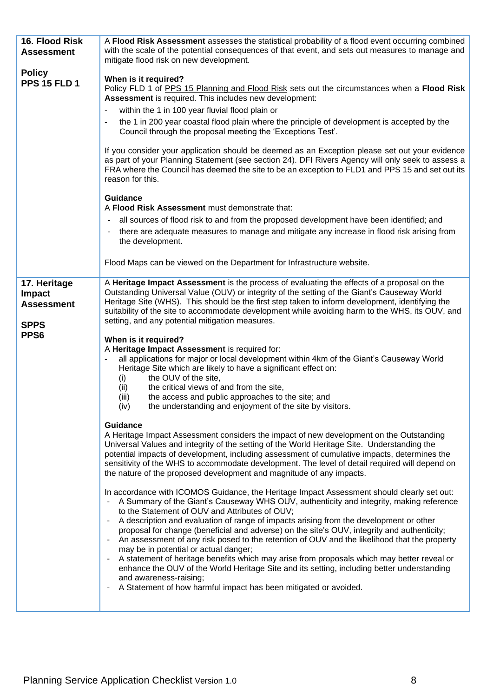| 16. Flood Risk<br><b>Assessment</b>                                       | A Flood Risk Assessment assesses the statistical probability of a flood event occurring combined<br>with the scale of the potential consequences of that event, and sets out measures to manage and<br>mitigate flood risk on new development.                                                                                                                                                                                                                                                                                                                                                                                                                                                                                                                                                                                                                                        |
|---------------------------------------------------------------------------|---------------------------------------------------------------------------------------------------------------------------------------------------------------------------------------------------------------------------------------------------------------------------------------------------------------------------------------------------------------------------------------------------------------------------------------------------------------------------------------------------------------------------------------------------------------------------------------------------------------------------------------------------------------------------------------------------------------------------------------------------------------------------------------------------------------------------------------------------------------------------------------|
| <b>Policy</b><br><b>PPS 15 FLD 1</b>                                      | When is it required?<br>Policy FLD 1 of PPS 15 Planning and Flood Risk sets out the circumstances when a Flood Risk<br>Assessment is required. This includes new development:<br>within the 1 in 100 year fluvial flood plain or<br>the 1 in 200 year coastal flood plain where the principle of development is accepted by the<br>Council through the proposal meeting the 'Exceptions Test'.                                                                                                                                                                                                                                                                                                                                                                                                                                                                                        |
|                                                                           | If you consider your application should be deemed as an Exception please set out your evidence<br>as part of your Planning Statement (see section 24). DFI Rivers Agency will only seek to assess a<br>FRA where the Council has deemed the site to be an exception to FLD1 and PPS 15 and set out its<br>reason for this.                                                                                                                                                                                                                                                                                                                                                                                                                                                                                                                                                            |
|                                                                           | <b>Guidance</b><br>A Flood Risk Assessment must demonstrate that:<br>all sources of flood risk to and from the proposed development have been identified; and<br>there are adequate measures to manage and mitigate any increase in flood risk arising from<br>۰.<br>the development.<br>Flood Maps can be viewed on the Department for Infrastructure website.                                                                                                                                                                                                                                                                                                                                                                                                                                                                                                                       |
|                                                                           |                                                                                                                                                                                                                                                                                                                                                                                                                                                                                                                                                                                                                                                                                                                                                                                                                                                                                       |
| 17. Heritage<br><b>Impact</b><br><b>Assessment</b><br><b>SPPS</b><br>PPS6 | A Heritage Impact Assessment is the process of evaluating the effects of a proposal on the<br>Outstanding Universal Value (OUV) or integrity of the setting of the Giant's Causeway World<br>Heritage Site (WHS). This should be the first step taken to inform development, identifying the<br>suitability of the site to accommodate development while avoiding harm to the WHS, its OUV, and<br>setting, and any potential mitigation measures.<br>When is it required?                                                                                                                                                                                                                                                                                                                                                                                                            |
|                                                                           | A Heritage Impact Assessment is required for:<br>all applications for major or local development within 4km of the Giant's Causeway World<br>Heritage Site which are likely to have a significant effect on:<br>the OUV of the site,<br>(i)<br>the critical views of and from the site,<br>(ii)<br>the access and public approaches to the site; and<br>(iii)<br>the understanding and enjoyment of the site by visitors.<br>(iv)                                                                                                                                                                                                                                                                                                                                                                                                                                                     |
|                                                                           | Guidance<br>A Heritage Impact Assessment considers the impact of new development on the Outstanding<br>Universal Values and integrity of the setting of the World Heritage Site. Understanding the<br>potential impacts of development, including assessment of cumulative impacts, determines the<br>sensitivity of the WHS to accommodate development. The level of detail required will depend on<br>the nature of the proposed development and magnitude of any impacts.                                                                                                                                                                                                                                                                                                                                                                                                          |
|                                                                           | In accordance with ICOMOS Guidance, the Heritage Impact Assessment should clearly set out:<br>A Summary of the Giant's Causeway WHS OUV, authenticity and integrity, making reference<br>to the Statement of OUV and Attributes of OUV;<br>A description and evaluation of range of impacts arising from the development or other<br>$\blacksquare$<br>proposal for change (beneficial and adverse) on the site's OUV, integrity and authenticity;<br>An assessment of any risk posed to the retention of OUV and the likelihood that the property<br>may be in potential or actual danger;<br>A statement of heritage benefits which may arise from proposals which may better reveal or<br>enhance the OUV of the World Heritage Site and its setting, including better understanding<br>and awareness-raising;<br>A Statement of how harmful impact has been mitigated or avoided. |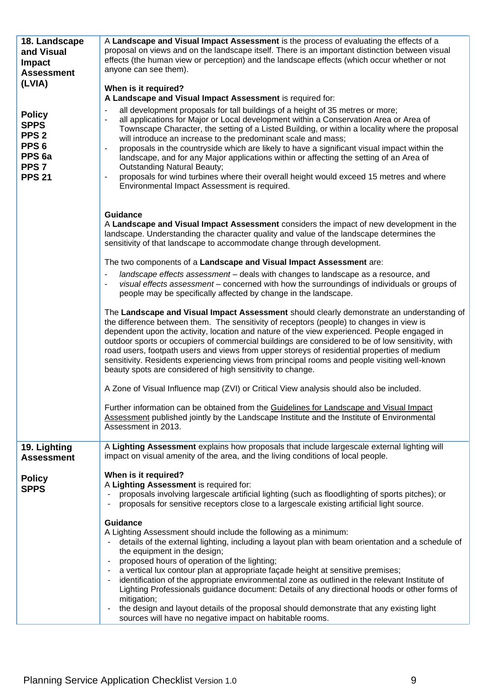| 18. Landscape<br>and Visual<br><b>Impact</b><br><b>Assessment</b>                                                              | A Landscape and Visual Impact Assessment is the process of evaluating the effects of a<br>proposal on views and on the landscape itself. There is an important distinction between visual<br>effects (the human view or perception) and the landscape effects (which occur whether or not<br>anyone can see them).                                                                                                                                                                                                                                                                                                                                                                                                                                                                                                              |
|--------------------------------------------------------------------------------------------------------------------------------|---------------------------------------------------------------------------------------------------------------------------------------------------------------------------------------------------------------------------------------------------------------------------------------------------------------------------------------------------------------------------------------------------------------------------------------------------------------------------------------------------------------------------------------------------------------------------------------------------------------------------------------------------------------------------------------------------------------------------------------------------------------------------------------------------------------------------------|
| (LVIA)                                                                                                                         | When is it required?                                                                                                                                                                                                                                                                                                                                                                                                                                                                                                                                                                                                                                                                                                                                                                                                            |
| <b>Policy</b><br><b>SPPS</b><br>PPS <sub>2</sub><br>PPS <sub>6</sub><br>PPS <sub>6a</sub><br>PPS <sub>7</sub><br><b>PPS 21</b> | A Landscape and Visual Impact Assessment is required for:<br>all development proposals for tall buildings of a height of 35 metres or more;<br>all applications for Major or Local development within a Conservation Area or Area of<br>Townscape Character, the setting of a Listed Building, or within a locality where the proposal<br>will introduce an increase to the predominant scale and mass;<br>proposals in the countryside which are likely to have a significant visual impact within the<br>landscape, and for any Major applications within or affecting the setting of an Area of<br><b>Outstanding Natural Beauty;</b><br>proposals for wind turbines where their overall height would exceed 15 metres and where<br>Environmental Impact Assessment is required.                                             |
|                                                                                                                                | <b>Guidance</b><br>A Landscape and Visual Impact Assessment considers the impact of new development in the<br>landscape. Understanding the character quality and value of the landscape determines the<br>sensitivity of that landscape to accommodate change through development.                                                                                                                                                                                                                                                                                                                                                                                                                                                                                                                                              |
|                                                                                                                                | The two components of a Landscape and Visual Impact Assessment are:                                                                                                                                                                                                                                                                                                                                                                                                                                                                                                                                                                                                                                                                                                                                                             |
|                                                                                                                                | landscape effects assessment - deals with changes to landscape as a resource, and<br>visual effects assessment - concerned with how the surroundings of individuals or groups of<br>people may be specifically affected by change in the landscape.                                                                                                                                                                                                                                                                                                                                                                                                                                                                                                                                                                             |
|                                                                                                                                | The Landscape and Visual Impact Assessment should clearly demonstrate an understanding of<br>the difference between them. The sensitivity of receptors (people) to changes in view is<br>dependent upon the activity, location and nature of the view experienced. People engaged in<br>outdoor sports or occupiers of commercial buildings are considered to be of low sensitivity, with<br>road users, footpath users and views from upper storeys of residential properties of medium<br>sensitivity. Residents experiencing views from principal rooms and people visiting well-known<br>beauty spots are considered of high sensitivity to change.                                                                                                                                                                         |
|                                                                                                                                | A Zone of Visual Influence map (ZVI) or Critical View analysis should also be included.                                                                                                                                                                                                                                                                                                                                                                                                                                                                                                                                                                                                                                                                                                                                         |
|                                                                                                                                | Further information can be obtained from the Guidelines for Landscape and Visual Impact<br>Assessment published jointly by the Landscape Institute and the Institute of Environmental<br>Assessment in 2013.                                                                                                                                                                                                                                                                                                                                                                                                                                                                                                                                                                                                                    |
| 19. Lighting<br><b>Assessment</b>                                                                                              | A Lighting Assessment explains how proposals that include largescale external lighting will<br>impact on visual amenity of the area, and the living conditions of local people.                                                                                                                                                                                                                                                                                                                                                                                                                                                                                                                                                                                                                                                 |
| <b>Policy</b><br><b>SPPS</b>                                                                                                   | When is it required?<br>A Lighting Assessment is required for:<br>proposals involving largescale artificial lighting (such as floodlighting of sports pitches); or<br>proposals for sensitive receptors close to a largescale existing artificial light source.<br><b>Guidance</b><br>A Lighting Assessment should include the following as a minimum:<br>details of the external lighting, including a layout plan with beam orientation and a schedule of<br>the equipment in the design;<br>proposed hours of operation of the lighting;<br>a vertical lux contour plan at appropriate façade height at sensitive premises;<br>identification of the appropriate environmental zone as outlined in the relevant Institute of<br>Lighting Professionals guidance document: Details of any directional hoods or other forms of |
|                                                                                                                                | mitigation;<br>the design and layout details of the proposal should demonstrate that any existing light<br>sources will have no negative impact on habitable rooms.                                                                                                                                                                                                                                                                                                                                                                                                                                                                                                                                                                                                                                                             |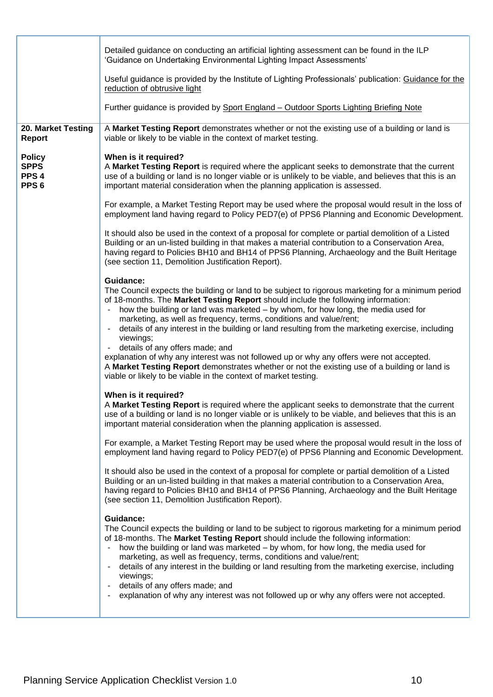|                                                                      | Detailed guidance on conducting an artificial lighting assessment can be found in the ILP<br>'Guidance on Undertaking Environmental Lighting Impact Assessments'                                                                                                                                                                                                                                                                                                                                                                                                                                               |
|----------------------------------------------------------------------|----------------------------------------------------------------------------------------------------------------------------------------------------------------------------------------------------------------------------------------------------------------------------------------------------------------------------------------------------------------------------------------------------------------------------------------------------------------------------------------------------------------------------------------------------------------------------------------------------------------|
|                                                                      | Useful guidance is provided by the Institute of Lighting Professionals' publication: Guidance for the<br>reduction of obtrusive light                                                                                                                                                                                                                                                                                                                                                                                                                                                                          |
|                                                                      | Further guidance is provided by Sport England - Outdoor Sports Lighting Briefing Note                                                                                                                                                                                                                                                                                                                                                                                                                                                                                                                          |
| 20. Market Testing<br><b>Report</b>                                  | A Market Testing Report demonstrates whether or not the existing use of a building or land is<br>viable or likely to be viable in the context of market testing.                                                                                                                                                                                                                                                                                                                                                                                                                                               |
| <b>Policy</b><br><b>SPPS</b><br>PPS <sub>4</sub><br>PPS <sub>6</sub> | When is it required?<br>A Market Testing Report is required where the applicant seeks to demonstrate that the current<br>use of a building or land is no longer viable or is unlikely to be viable, and believes that this is an<br>important material consideration when the planning application is assessed.                                                                                                                                                                                                                                                                                                |
|                                                                      | For example, a Market Testing Report may be used where the proposal would result in the loss of<br>employment land having regard to Policy PED7(e) of PPS6 Planning and Economic Development.                                                                                                                                                                                                                                                                                                                                                                                                                  |
|                                                                      | It should also be used in the context of a proposal for complete or partial demolition of a Listed<br>Building or an un-listed building in that makes a material contribution to a Conservation Area,<br>having regard to Policies BH10 and BH14 of PPS6 Planning, Archaeology and the Built Heritage<br>(see section 11, Demolition Justification Report).                                                                                                                                                                                                                                                    |
|                                                                      | Guidance:<br>The Council expects the building or land to be subject to rigorous marketing for a minimum period<br>of 18-months. The Market Testing Report should include the following information:<br>how the building or land was marketed - by whom, for how long, the media used for<br>marketing, as well as frequency, terms, conditions and value/rent;<br>details of any interest in the building or land resulting from the marketing exercise, including<br>viewings;<br>details of any offers made; and                                                                                             |
|                                                                      | explanation of why any interest was not followed up or why any offers were not accepted.<br>A Market Testing Report demonstrates whether or not the existing use of a building or land is<br>viable or likely to be viable in the context of market testing.                                                                                                                                                                                                                                                                                                                                                   |
|                                                                      | When is it required?<br>A Market Testing Report is required where the applicant seeks to demonstrate that the current<br>use of a building or land is no longer viable or is unlikely to be viable, and believes that this is an<br>important material consideration when the planning application is assessed.                                                                                                                                                                                                                                                                                                |
|                                                                      | For example, a Market Testing Report may be used where the proposal would result in the loss of<br>employment land having regard to Policy PED7(e) of PPS6 Planning and Economic Development.                                                                                                                                                                                                                                                                                                                                                                                                                  |
|                                                                      | It should also be used in the context of a proposal for complete or partial demolition of a Listed<br>Building or an un-listed building in that makes a material contribution to a Conservation Area,<br>having regard to Policies BH10 and BH14 of PPS6 Planning, Archaeology and the Built Heritage<br>(see section 11, Demolition Justification Report).                                                                                                                                                                                                                                                    |
|                                                                      | Guidance:<br>The Council expects the building or land to be subject to rigorous marketing for a minimum period<br>of 18-months. The Market Testing Report should include the following information:<br>how the building or land was marketed - by whom, for how long, the media used for<br>marketing, as well as frequency, terms, conditions and value/rent;<br>details of any interest in the building or land resulting from the marketing exercise, including<br>viewings;<br>details of any offers made; and<br>explanation of why any interest was not followed up or why any offers were not accepted. |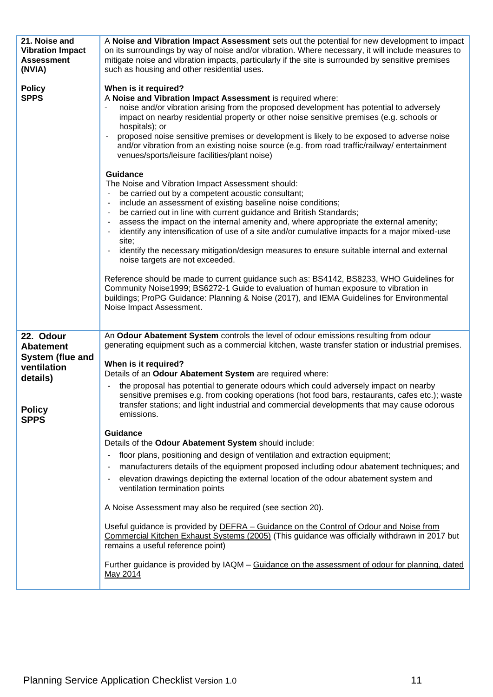| 21. Noise and<br><b>Vibration Impact</b><br><b>Assessment</b><br>(NVIA) | A Noise and Vibration Impact Assessment sets out the potential for new development to impact<br>on its surroundings by way of noise and/or vibration. Where necessary, it will include measures to<br>mitigate noise and vibration impacts, particularly if the site is surrounded by sensitive premises<br>such as housing and other residential uses.                                                                                                                                                                                                                                                                                                                                                                                                                                                                                                                                                         |
|-------------------------------------------------------------------------|-----------------------------------------------------------------------------------------------------------------------------------------------------------------------------------------------------------------------------------------------------------------------------------------------------------------------------------------------------------------------------------------------------------------------------------------------------------------------------------------------------------------------------------------------------------------------------------------------------------------------------------------------------------------------------------------------------------------------------------------------------------------------------------------------------------------------------------------------------------------------------------------------------------------|
| <b>Policy</b><br><b>SPPS</b>                                            | When is it required?<br>A Noise and Vibration Impact Assessment is required where:<br>noise and/or vibration arising from the proposed development has potential to adversely<br>impact on nearby residential property or other noise sensitive premises (e.g. schools or<br>hospitals); or<br>proposed noise sensitive premises or development is likely to be exposed to adverse noise<br>and/or vibration from an existing noise source (e.g. from road traffic/railway/ entertainment<br>venues/sports/leisure facilities/plant noise)<br><b>Guidance</b><br>The Noise and Vibration Impact Assessment should:<br>be carried out by a competent acoustic consultant;<br>$\qquad \qquad \blacksquare$<br>include an assessment of existing baseline noise conditions;<br>$\qquad \qquad \blacksquare$<br>be carried out in line with current guidance and British Standards;<br>$\qquad \qquad \blacksquare$ |
|                                                                         | assess the impact on the internal amenity and, where appropriate the external amenity;<br>$\blacksquare$<br>identify any intensification of use of a site and/or cumulative impacts for a major mixed-use<br>site;<br>identify the necessary mitigation/design measures to ensure suitable internal and external<br>noise targets are not exceeded.                                                                                                                                                                                                                                                                                                                                                                                                                                                                                                                                                             |
|                                                                         | Reference should be made to current guidance such as: BS4142, BS8233, WHO Guidelines for<br>Community Noise1999; BS6272-1 Guide to evaluation of human exposure to vibration in<br>buildings; ProPG Guidance: Planning & Noise (2017), and IEMA Guidelines for Environmental<br>Noise Impact Assessment.                                                                                                                                                                                                                                                                                                                                                                                                                                                                                                                                                                                                        |
| 22. Odour<br><b>Abatement</b><br>System (flue and<br>ventilation        | An Odour Abatement System controls the level of odour emissions resulting from odour<br>generating equipment such as a commercial kitchen, waste transfer station or industrial premises.<br>When is it required?<br>Details of an Odour Abatement System are required where:                                                                                                                                                                                                                                                                                                                                                                                                                                                                                                                                                                                                                                   |
| details)<br><b>Policy</b><br><b>SPPS</b>                                | the proposal has potential to generate odours which could adversely impact on nearby<br>$\blacksquare$<br>sensitive premises e.g. from cooking operations (hot food bars, restaurants, cafes etc.); waste<br>transfer stations; and light industrial and commercial developments that may cause odorous<br>emissions.                                                                                                                                                                                                                                                                                                                                                                                                                                                                                                                                                                                           |
|                                                                         | Guidance<br>Details of the Odour Abatement System should include:<br>floor plans, positioning and design of ventilation and extraction equipment;<br>$\overline{\phantom{0}}$<br>manufacturers details of the equipment proposed including odour abatement techniques; and<br>$\overline{\phantom{a}}$<br>elevation drawings depicting the external location of the odour abatement system and<br>-<br>ventilation termination points                                                                                                                                                                                                                                                                                                                                                                                                                                                                           |
|                                                                         | A Noise Assessment may also be required (see section 20).<br>Useful guidance is provided by <b>DEFRA</b> - Guidance on the Control of Odour and Noise from<br>Commercial Kitchen Exhaust Systems (2005) (This guidance was officially withdrawn in 2017 but<br>remains a useful reference point)                                                                                                                                                                                                                                                                                                                                                                                                                                                                                                                                                                                                                |
|                                                                         | Further guidance is provided by IAQM - Guidance on the assessment of odour for planning, dated<br>May 2014                                                                                                                                                                                                                                                                                                                                                                                                                                                                                                                                                                                                                                                                                                                                                                                                      |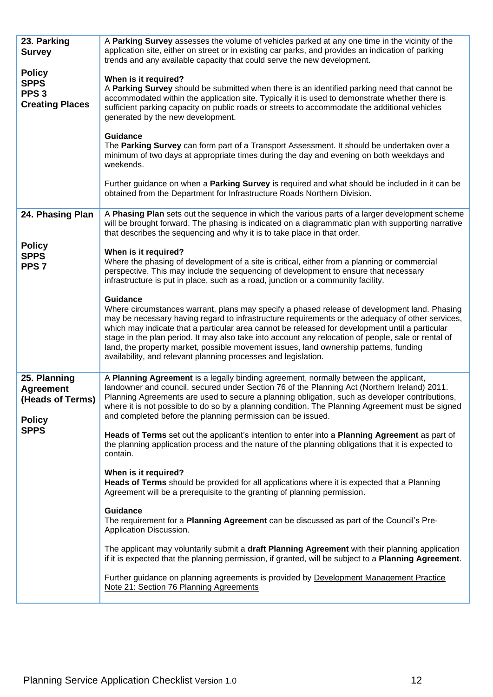| 23. Parking<br><b>Survey</b>                                               | A Parking Survey assesses the volume of vehicles parked at any one time in the vicinity of the<br>application site, either on street or in existing car parks, and provides an indication of parking<br>trends and any available capacity that could serve the new development.                                                                                                                                                                                                                                                                                                          |
|----------------------------------------------------------------------------|------------------------------------------------------------------------------------------------------------------------------------------------------------------------------------------------------------------------------------------------------------------------------------------------------------------------------------------------------------------------------------------------------------------------------------------------------------------------------------------------------------------------------------------------------------------------------------------|
| <b>Policy</b><br><b>SPPS</b><br>PPS <sub>3</sub><br><b>Creating Places</b> | When is it required?<br>A Parking Survey should be submitted when there is an identified parking need that cannot be<br>accommodated within the application site. Typically it is used to demonstrate whether there is<br>sufficient parking capacity on public roads or streets to accommodate the additional vehicles<br>generated by the new development.                                                                                                                                                                                                                             |
|                                                                            | <b>Guidance</b><br>The Parking Survey can form part of a Transport Assessment. It should be undertaken over a<br>minimum of two days at appropriate times during the day and evening on both weekdays and<br>weekends.                                                                                                                                                                                                                                                                                                                                                                   |
|                                                                            | Further guidance on when a Parking Survey is required and what should be included in it can be<br>obtained from the Department for Infrastructure Roads Northern Division.                                                                                                                                                                                                                                                                                                                                                                                                               |
| 24. Phasing Plan                                                           | A Phasing Plan sets out the sequence in which the various parts of a larger development scheme<br>will be brought forward. The phasing is indicated on a diagrammatic plan with supporting narrative<br>that describes the sequencing and why it is to take place in that order.                                                                                                                                                                                                                                                                                                         |
| <b>Policy</b><br><b>SPPS</b><br>PPS <sub>7</sub>                           | When is it required?<br>Where the phasing of development of a site is critical, either from a planning or commercial<br>perspective. This may include the sequencing of development to ensure that necessary<br>infrastructure is put in place, such as a road, junction or a community facility.                                                                                                                                                                                                                                                                                        |
|                                                                            | <b>Guidance</b><br>Where circumstances warrant, plans may specify a phased release of development land. Phasing<br>may be necessary having regard to infrastructure requirements or the adequacy of other services,<br>which may indicate that a particular area cannot be released for development until a particular<br>stage in the plan period. It may also take into account any relocation of people, sale or rental of<br>land, the property market, possible movement issues, land ownership patterns, funding<br>availability, and relevant planning processes and legislation. |
| 25. Planning<br><b>Agreement</b><br>(Heads of Terms)<br><b>Policy</b>      | A Planning Agreement is a legally binding agreement, normally between the applicant,<br>landowner and council, secured under Section 76 of the Planning Act (Northern Ireland) 2011.<br>Planning Agreements are used to secure a planning obligation, such as developer contributions,<br>where it is not possible to do so by a planning condition. The Planning Agreement must be signed<br>and completed before the planning permission can be issued.                                                                                                                                |
| <b>SPPS</b>                                                                | Heads of Terms set out the applicant's intention to enter into a Planning Agreement as part of<br>the planning application process and the nature of the planning obligations that it is expected to<br>contain.                                                                                                                                                                                                                                                                                                                                                                         |
|                                                                            | When is it required?<br>Heads of Terms should be provided for all applications where it is expected that a Planning<br>Agreement will be a prerequisite to the granting of planning permission.                                                                                                                                                                                                                                                                                                                                                                                          |
|                                                                            | <b>Guidance</b><br>The requirement for a Planning Agreement can be discussed as part of the Council's Pre-<br>Application Discussion.                                                                                                                                                                                                                                                                                                                                                                                                                                                    |
|                                                                            | The applicant may voluntarily submit a draft Planning Agreement with their planning application<br>if it is expected that the planning permission, if granted, will be subject to a <b>Planning Agreement</b> .                                                                                                                                                                                                                                                                                                                                                                          |
|                                                                            | Further guidance on planning agreements is provided by Development Management Practice<br>Note 21: Section 76 Planning Agreements                                                                                                                                                                                                                                                                                                                                                                                                                                                        |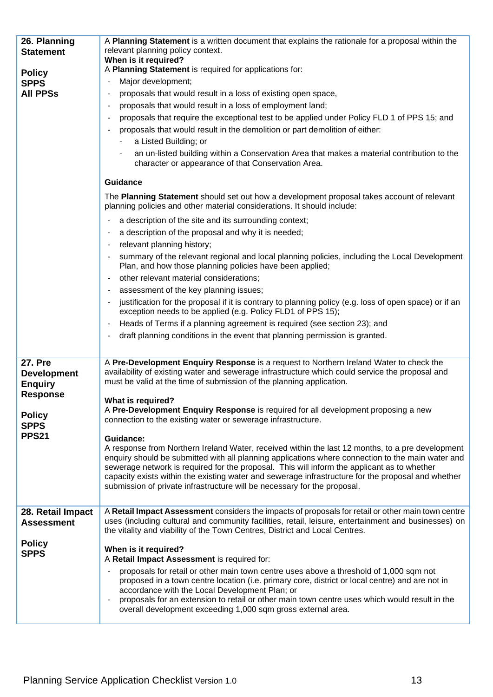| 26. Planning                                           | A Planning Statement is a written document that explains the rationale for a proposal within the                                                                                                                                                                                                                                                                                                                                                                                       |
|--------------------------------------------------------|----------------------------------------------------------------------------------------------------------------------------------------------------------------------------------------------------------------------------------------------------------------------------------------------------------------------------------------------------------------------------------------------------------------------------------------------------------------------------------------|
| <b>Statement</b>                                       | relevant planning policy context.                                                                                                                                                                                                                                                                                                                                                                                                                                                      |
|                                                        | When is it required?<br>A Planning Statement is required for applications for:                                                                                                                                                                                                                                                                                                                                                                                                         |
| <b>Policy</b><br><b>SPPS</b>                           | Major development;                                                                                                                                                                                                                                                                                                                                                                                                                                                                     |
| <b>All PPSs</b>                                        | proposals that would result in a loss of existing open space,                                                                                                                                                                                                                                                                                                                                                                                                                          |
|                                                        | proposals that would result in a loss of employment land;                                                                                                                                                                                                                                                                                                                                                                                                                              |
|                                                        | proposals that require the exceptional test to be applied under Policy FLD 1 of PPS 15; and                                                                                                                                                                                                                                                                                                                                                                                            |
|                                                        | proposals that would result in the demolition or part demolition of either:                                                                                                                                                                                                                                                                                                                                                                                                            |
|                                                        | a Listed Building; or                                                                                                                                                                                                                                                                                                                                                                                                                                                                  |
|                                                        | an un-listed building within a Conservation Area that makes a material contribution to the<br>character or appearance of that Conservation Area.                                                                                                                                                                                                                                                                                                                                       |
|                                                        | <b>Guidance</b>                                                                                                                                                                                                                                                                                                                                                                                                                                                                        |
|                                                        | The Planning Statement should set out how a development proposal takes account of relevant<br>planning policies and other material considerations. It should include:                                                                                                                                                                                                                                                                                                                  |
|                                                        | a description of the site and its surrounding context;                                                                                                                                                                                                                                                                                                                                                                                                                                 |
|                                                        | a description of the proposal and why it is needed;                                                                                                                                                                                                                                                                                                                                                                                                                                    |
|                                                        | relevant planning history;                                                                                                                                                                                                                                                                                                                                                                                                                                                             |
|                                                        | summary of the relevant regional and local planning policies, including the Local Development<br>Plan, and how those planning policies have been applied;                                                                                                                                                                                                                                                                                                                              |
|                                                        | other relevant material considerations;                                                                                                                                                                                                                                                                                                                                                                                                                                                |
|                                                        | assessment of the key planning issues;                                                                                                                                                                                                                                                                                                                                                                                                                                                 |
|                                                        | justification for the proposal if it is contrary to planning policy (e.g. loss of open space) or if an<br>exception needs to be applied (e.g. Policy FLD1 of PPS 15);                                                                                                                                                                                                                                                                                                                  |
|                                                        | Heads of Terms if a planning agreement is required (see section 23); and                                                                                                                                                                                                                                                                                                                                                                                                               |
|                                                        | draft planning conditions in the event that planning permission is granted.                                                                                                                                                                                                                                                                                                                                                                                                            |
|                                                        |                                                                                                                                                                                                                                                                                                                                                                                                                                                                                        |
| <b>27. Pre</b><br><b>Development</b><br><b>Enquiry</b> | A Pre-Development Enquiry Response is a request to Northern Ireland Water to check the<br>availability of existing water and sewerage infrastructure which could service the proposal and<br>must be valid at the time of submission of the planning application.                                                                                                                                                                                                                      |
| <b>Response</b>                                        | What is required?                                                                                                                                                                                                                                                                                                                                                                                                                                                                      |
| <b>Policy</b><br><b>SPPS</b>                           | A Pre-Development Enquiry Response is required for all development proposing a new<br>connection to the existing water or sewerage infrastructure.                                                                                                                                                                                                                                                                                                                                     |
| <b>PPS21</b>                                           | Guidance:                                                                                                                                                                                                                                                                                                                                                                                                                                                                              |
|                                                        | A response from Northern Ireland Water, received within the last 12 months, to a pre development<br>enquiry should be submitted with all planning applications where connection to the main water and<br>sewerage network is required for the proposal. This will inform the applicant as to whether<br>capacity exists within the existing water and sewerage infrastructure for the proposal and whether<br>submission of private infrastructure will be necessary for the proposal. |
|                                                        |                                                                                                                                                                                                                                                                                                                                                                                                                                                                                        |
| 28. Retail Impact<br><b>Assessment</b>                 | A Retail Impact Assessment considers the impacts of proposals for retail or other main town centre<br>uses (including cultural and community facilities, retail, leisure, entertainment and businesses) on<br>the vitality and viability of the Town Centres, District and Local Centres.                                                                                                                                                                                              |
| <b>Policy</b><br><b>SPPS</b>                           | When is it required?<br>A Retail Impact Assessment is required for:                                                                                                                                                                                                                                                                                                                                                                                                                    |
|                                                        | proposals for retail or other main town centre uses above a threshold of 1,000 sqm not<br>proposed in a town centre location (i.e. primary core, district or local centre) and are not in<br>accordance with the Local Development Plan; or<br>proposals for an extension to retail or other main town centre uses which would result in the<br>overall development exceeding 1,000 sqm gross external area.                                                                           |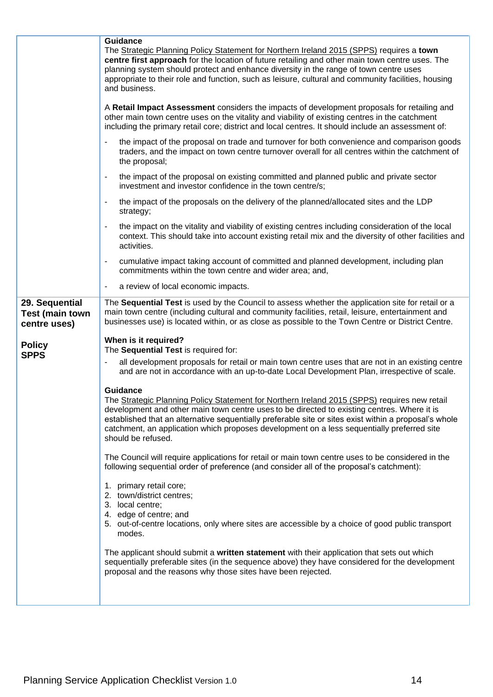|                                                          | <b>Guidance</b><br>The Strategic Planning Policy Statement for Northern Ireland 2015 (SPPS) requires a town<br>centre first approach for the location of future retailing and other main town centre uses. The<br>planning system should protect and enhance diversity in the range of town centre uses<br>appropriate to their role and function, such as leisure, cultural and community facilities, housing<br>and business.      |
|----------------------------------------------------------|--------------------------------------------------------------------------------------------------------------------------------------------------------------------------------------------------------------------------------------------------------------------------------------------------------------------------------------------------------------------------------------------------------------------------------------|
|                                                          | A Retail Impact Assessment considers the impacts of development proposals for retailing and<br>other main town centre uses on the vitality and viability of existing centres in the catchment<br>including the primary retail core; district and local centres. It should include an assessment of:                                                                                                                                  |
|                                                          | the impact of the proposal on trade and turnover for both convenience and comparison goods<br>traders, and the impact on town centre turnover overall for all centres within the catchment of<br>the proposal;                                                                                                                                                                                                                       |
|                                                          | the impact of the proposal on existing committed and planned public and private sector<br>investment and investor confidence in the town centre/s;                                                                                                                                                                                                                                                                                   |
|                                                          | the impact of the proposals on the delivery of the planned/allocated sites and the LDP<br>strategy;                                                                                                                                                                                                                                                                                                                                  |
|                                                          | the impact on the vitality and viability of existing centres including consideration of the local<br>context. This should take into account existing retail mix and the diversity of other facilities and<br>activities.                                                                                                                                                                                                             |
|                                                          | cumulative impact taking account of committed and planned development, including plan<br>commitments within the town centre and wider area; and,                                                                                                                                                                                                                                                                                     |
|                                                          | a review of local economic impacts.                                                                                                                                                                                                                                                                                                                                                                                                  |
| 29. Sequential<br><b>Test (main town</b><br>centre uses) | The Sequential Test is used by the Council to assess whether the application site for retail or a<br>main town centre (including cultural and community facilities, retail, leisure, entertainment and<br>businesses use) is located within, or as close as possible to the Town Centre or District Centre.                                                                                                                          |
| <b>Policy</b><br><b>SPPS</b>                             | When is it required?<br>The Sequential Test is required for:                                                                                                                                                                                                                                                                                                                                                                         |
|                                                          | all development proposals for retail or main town centre uses that are not in an existing centre<br>and are not in accordance with an up-to-date Local Development Plan, irrespective of scale.                                                                                                                                                                                                                                      |
|                                                          | Guidance<br>The Strategic Planning Policy Statement for Northern Ireland 2015 (SPPS) requires new retail<br>development and other main town centre uses to be directed to existing centres. Where it is<br>established that an alternative sequentially preferable site or sites exist within a proposal's whole<br>catchment, an application which proposes development on a less sequentially preferred site<br>should be refused. |
|                                                          | The Council will require applications for retail or main town centre uses to be considered in the<br>following sequential order of preference (and consider all of the proposal's catchment):                                                                                                                                                                                                                                        |
|                                                          | 1. primary retail core;<br>2. town/district centres;<br>3. local centre;<br>4. edge of centre; and<br>5. out-of-centre locations, only where sites are accessible by a choice of good public transport<br>modes.                                                                                                                                                                                                                     |
|                                                          | The applicant should submit a written statement with their application that sets out which<br>sequentially preferable sites (in the sequence above) they have considered for the development<br>proposal and the reasons why those sites have been rejected.                                                                                                                                                                         |
|                                                          |                                                                                                                                                                                                                                                                                                                                                                                                                                      |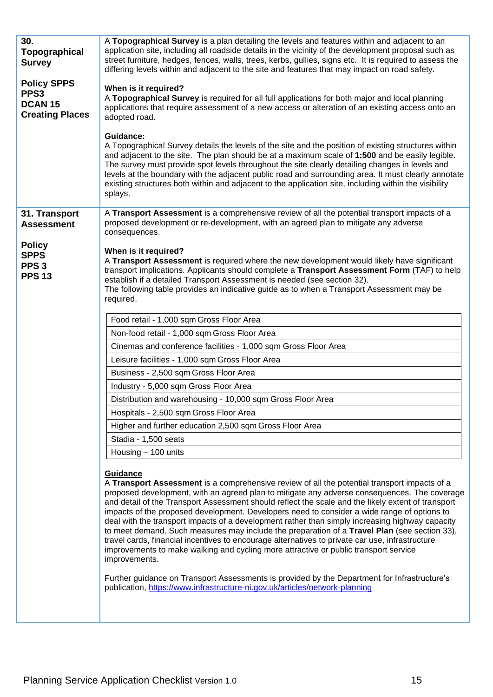| A Topographical Survey is a plan detailing the levels and features within and adjacent to an<br>application site, including all roadside details in the vicinity of the development proposal such as<br>street furniture, hedges, fences, walls, trees, kerbs, gullies, signs etc. It is required to assess the<br>differing levels within and adjacent to the site and features that may impact on road safety.<br>When is it required?<br>A Topographical Survey is required for all full applications for both major and local planning<br>applications that require assessment of a new access or alteration of an existing access onto an<br>adopted road.<br>Guidance:<br>A Topographical Survey details the levels of the site and the position of existing structures within<br>and adjacent to the site. The plan should be at a maximum scale of 1:500 and be easily legible.<br>The survey must provide spot levels throughout the site clearly detailing changes in levels and<br>levels at the boundary with the adjacent public road and surrounding area. It must clearly annotate<br>existing structures both within and adjacent to the application site, including within the visibility<br>splays.                                                                                                                                                                                                                                                                                                            |
|----------------------------------------------------------------------------------------------------------------------------------------------------------------------------------------------------------------------------------------------------------------------------------------------------------------------------------------------------------------------------------------------------------------------------------------------------------------------------------------------------------------------------------------------------------------------------------------------------------------------------------------------------------------------------------------------------------------------------------------------------------------------------------------------------------------------------------------------------------------------------------------------------------------------------------------------------------------------------------------------------------------------------------------------------------------------------------------------------------------------------------------------------------------------------------------------------------------------------------------------------------------------------------------------------------------------------------------------------------------------------------------------------------------------------------------------------------------------------------------------------------------------------------|
| A Transport Assessment is a comprehensive review of all the potential transport impacts of a<br>proposed development or re-development, with an agreed plan to mitigate any adverse<br>consequences.                                                                                                                                                                                                                                                                                                                                                                                                                                                                                                                                                                                                                                                                                                                                                                                                                                                                                                                                                                                                                                                                                                                                                                                                                                                                                                                             |
| When is it required?<br>A Transport Assessment is required where the new development would likely have significant<br>transport implications. Applicants should complete a Transport Assessment Form (TAF) to help<br>establish if a detailed Transport Assessment is needed (see section 32).<br>The following table provides an indicative guide as to when a Transport Assessment may be<br>required.                                                                                                                                                                                                                                                                                                                                                                                                                                                                                                                                                                                                                                                                                                                                                                                                                                                                                                                                                                                                                                                                                                                         |
| Food retail - 1,000 sqm Gross Floor Area<br>Non-food retail - 1,000 sqm Gross Floor Area<br>Cinemas and conference facilities - 1,000 sqm Gross Floor Area<br>Leisure facilities - 1,000 sqm Gross Floor Area<br>Business - 2,500 sqm Gross Floor Area<br>Industry - 5,000 sqm Gross Floor Area<br>Distribution and warehousing - 10,000 sqm Gross Floor Area<br>Hospitals - 2,500 sqm Gross Floor Area<br>Higher and further education 2,500 sqm Gross Floor Area<br>Stadia - 1,500 seats<br>Housing - 100 units<br>Guidance<br>A Transport Assessment is a comprehensive review of all the potential transport impacts of a<br>proposed development, with an agreed plan to mitigate any adverse consequences. The coverage<br>and detail of the Transport Assessment should reflect the scale and the likely extent of transport<br>impacts of the proposed development. Developers need to consider a wide range of options to<br>deal with the transport impacts of a development rather than simply increasing highway capacity<br>to meet demand. Such measures may include the preparation of a Travel Plan (see section 33),<br>travel cards, financial incentives to encourage alternatives to private car use, infrastructure<br>improvements to make walking and cycling more attractive or public transport service<br>improvements.<br>Further guidance on Transport Assessments is provided by the Department for Infrastructure's<br>publication, https://www.infrastructure-ni.gov.uk/articles/network-planning |
|                                                                                                                                                                                                                                                                                                                                                                                                                                                                                                                                                                                                                                                                                                                                                                                                                                                                                                                                                                                                                                                                                                                                                                                                                                                                                                                                                                                                                                                                                                                                  |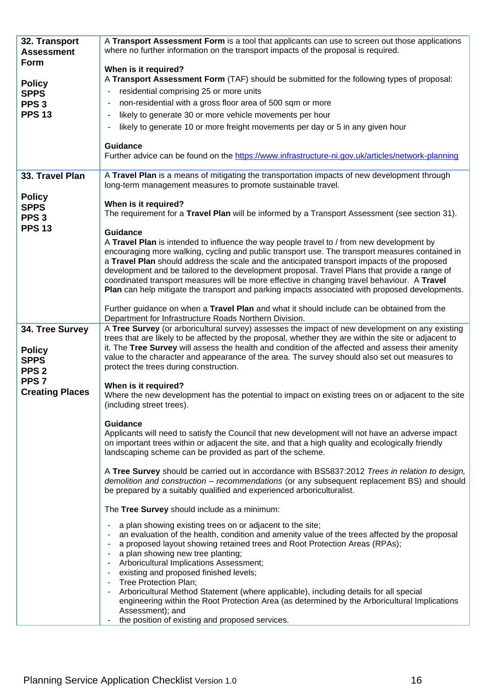| 32. Transport<br><b>Assessment</b>                                  | A Transport Assessment Form is a tool that applicants can use to screen out those applications<br>where no further information on the transport impacts of the proposal is required.                                                                                                                                                                                                                                                                                                                                                                                                                                                                                                                   |
|---------------------------------------------------------------------|--------------------------------------------------------------------------------------------------------------------------------------------------------------------------------------------------------------------------------------------------------------------------------------------------------------------------------------------------------------------------------------------------------------------------------------------------------------------------------------------------------------------------------------------------------------------------------------------------------------------------------------------------------------------------------------------------------|
| Form                                                                | When is it required?                                                                                                                                                                                                                                                                                                                                                                                                                                                                                                                                                                                                                                                                                   |
| <b>Policy</b>                                                       | A Transport Assessment Form (TAF) should be submitted for the following types of proposal:                                                                                                                                                                                                                                                                                                                                                                                                                                                                                                                                                                                                             |
| <b>SPPS</b>                                                         | residential comprising 25 or more units                                                                                                                                                                                                                                                                                                                                                                                                                                                                                                                                                                                                                                                                |
| PPS <sub>3</sub>                                                    | non-residential with a gross floor area of 500 sqm or more<br>$\overline{\phantom{a}}$                                                                                                                                                                                                                                                                                                                                                                                                                                                                                                                                                                                                                 |
| <b>PPS 13</b>                                                       | likely to generate 30 or more vehicle movements per hour<br>$\blacksquare$                                                                                                                                                                                                                                                                                                                                                                                                                                                                                                                                                                                                                             |
|                                                                     | likely to generate 10 or more freight movements per day or 5 in any given hour                                                                                                                                                                                                                                                                                                                                                                                                                                                                                                                                                                                                                         |
|                                                                     | <b>Guidance</b><br>Further advice can be found on the https://www.infrastructure-ni.gov.uk/articles/network-planning                                                                                                                                                                                                                                                                                                                                                                                                                                                                                                                                                                                   |
| 33. Travel Plan                                                     | A Travel Plan is a means of mitigating the transportation impacts of new development through<br>long-term management measures to promote sustainable travel.                                                                                                                                                                                                                                                                                                                                                                                                                                                                                                                                           |
| <b>Policy</b><br><b>SPPS</b><br>PPS <sub>3</sub><br><b>PPS 13</b>   | When is it required?<br>The requirement for a Travel Plan will be informed by a Transport Assessment (see section 31).<br><b>Guidance</b>                                                                                                                                                                                                                                                                                                                                                                                                                                                                                                                                                              |
|                                                                     | A Travel Plan is intended to influence the way people travel to / from new development by<br>encouraging more walking, cycling and public transport use. The transport measures contained in<br>a Travel Plan should address the scale and the anticipated transport impacts of the proposed<br>development and be tailored to the development proposal. Travel Plans that provide a range of<br>coordinated transport measures will be more effective in changing travel behaviour. A Travel<br>Plan can help mitigate the transport and parking impacts associated with proposed developments.                                                                                                       |
|                                                                     | Further guidance on when a Travel Plan and what it should include can be obtained from the<br>Department for Infrastructure Roads Northern Division.                                                                                                                                                                                                                                                                                                                                                                                                                                                                                                                                                   |
| 34. Tree Survey<br><b>Policy</b><br><b>SPPS</b><br>PPS <sub>2</sub> | A Tree Survey (or arboricultural survey) assesses the impact of new development on any existing<br>trees that are likely to be affected by the proposal, whether they are within the site or adjacent to<br>it. The Tree Survey will assess the health and condition of the affected and assess their amenity<br>value to the character and appearance of the area. The survey should also set out measures to<br>protect the trees during construction.                                                                                                                                                                                                                                               |
| PPS <sub>7</sub><br><b>Creating Places</b>                          | When is it required?<br>Where the new development has the potential to impact on existing trees on or adjacent to the site<br>(including street trees).                                                                                                                                                                                                                                                                                                                                                                                                                                                                                                                                                |
|                                                                     | <b>Guidance</b><br>Applicants will need to satisfy the Council that new development will not have an adverse impact<br>on important trees within or adjacent the site, and that a high quality and ecologically friendly                                                                                                                                                                                                                                                                                                                                                                                                                                                                               |
|                                                                     | landscaping scheme can be provided as part of the scheme.                                                                                                                                                                                                                                                                                                                                                                                                                                                                                                                                                                                                                                              |
|                                                                     | A Tree Survey should be carried out in accordance with BS5837:2012 Trees in relation to design,<br>demolition and construction - recommendations (or any subsequent replacement BS) and should<br>be prepared by a suitably qualified and experienced arboriculturalist.                                                                                                                                                                                                                                                                                                                                                                                                                               |
|                                                                     | The Tree Survey should include as a minimum:                                                                                                                                                                                                                                                                                                                                                                                                                                                                                                                                                                                                                                                           |
|                                                                     | a plan showing existing trees on or adjacent to the site;<br>٠<br>an evaluation of the health, condition and amenity value of the trees affected by the proposal<br>a proposed layout showing retained trees and Root Protection Areas (RPAs);<br>$\blacksquare$<br>a plan showing new tree planting;<br>$\blacksquare$<br>Arboricultural Implications Assessment;<br>existing and proposed finished levels;<br>Tree Protection Plan;<br>Arboricultural Method Statement (where applicable), including details for all special<br>engineering within the Root Protection Area (as determined by the Arboricultural Implications<br>Assessment); and<br>the position of existing and proposed services. |